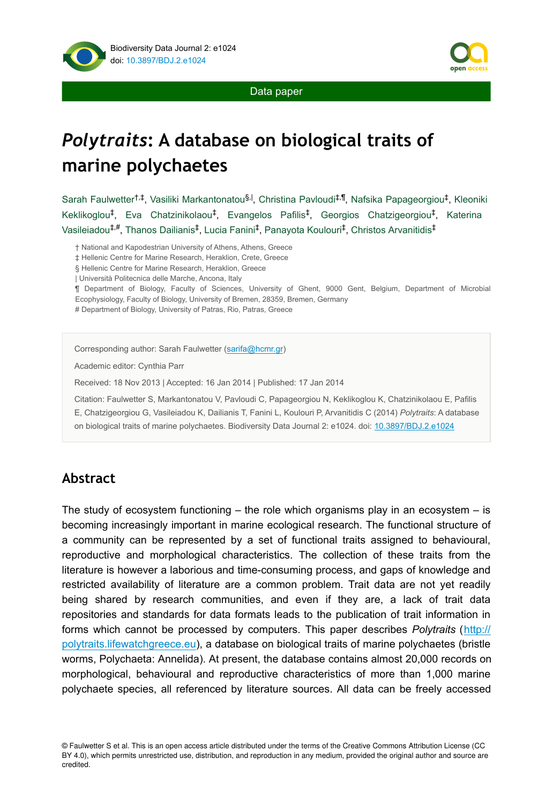

Data paper

# *Polytraits***: A database on biological traits of marine polychaetes**

Sarah Faulwetter<sup>†,‡</sup>, Vasiliki Markantonatou<sup>§,|</sup>, Christina Pavloudi<sup>‡,¶</sup>, Nafsika Papageorgiou<sup>‡</sup>, Kleoniki Keklikoglou<sup>‡</sup>, Eva Chatzinikolaou<sup>‡</sup>, Evangelos Pafilis<sup>‡</sup>, Georgios Chatzigeorgiou<sup>‡</sup>, Katerina Vasileiadou‡.#, Thanos Dailianis‡, Lucia Fanini‡, Panayota Koulouri‡, Christos Arvanitidis‡

† National and Kapodestrian University of Athens, Athens, Greece

‡ Hellenic Centre for Marine Research, Heraklion, Crete, Greece

§ Hellenic Centre for Marine Research, Heraklion, Greece

| Università Politecnica delle Marche, Ancona, Italy

¶ Department of Biology, Faculty of Sciences, University of Ghent, 9000 Gent, Belgium, Department of Microbial Ecophysiology, Faculty of Biology, University of Bremen, 28359, Bremen, Germany

# Department of Biology, University of Patras, Rio, Patras, Greece

Corresponding author: Sarah Faulwetter ([sarifa@hcmr.gr\)](mailto:sarifa@hcmr.gr)

Academic editor: Cynthia Parr

Received: 18 Nov 2013 | Accepted: 16 Jan 2014 | Published: 17 Jan 2014

Citation: Faulwetter S, Markantonatou V, Pavloudi C, Papageorgiou N, Keklikoglou K, Chatzinikolaou E, Pafilis E, Chatzigeorgiou G, Vasileiadou K, Dailianis T, Fanini L, Koulouri P, Arvanitidis C (2014) *Polytraits*: A database on biological traits of marine polychaetes. Biodiversity Data Journal 2: e1024. doi: [10.3897/BDJ.2.e1024](http://dx.doi.org/10.3897/BDJ.2.e1024)

### **Abstract**

The study of ecosystem functioning  $-$  the role which organisms play in an ecosystem  $-$  is becoming increasingly important in marine ecological research. The functional structure of a community can be represented by a set of functional traits assigned to behavioural, reproductive and morphological characteristics. The collection of these traits from the literature is however a laborious and time-consuming process, and gaps of knowledge and restricted availability of literature are a common problem. Trait data are not yet readily being shared by research communities, and even if they are, a lack of trait data repositories and standards for data formats leads to the publication of trait information in forms which cannot be processed by computers. This paper describes *Polytraits* ([http://](http://polytraits.lifewatchgreece.eu) [polytraits.lifewatchgreece.eu](http://polytraits.lifewatchgreece.eu)), a database on biological traits of marine polychaetes (bristle worms, Polychaeta: Annelida). At present, the database contains almost 20,000 records on morphological, behavioural and reproductive characteristics of more than 1,000 marine polychaete species, all referenced by literature sources. All data can be freely accessed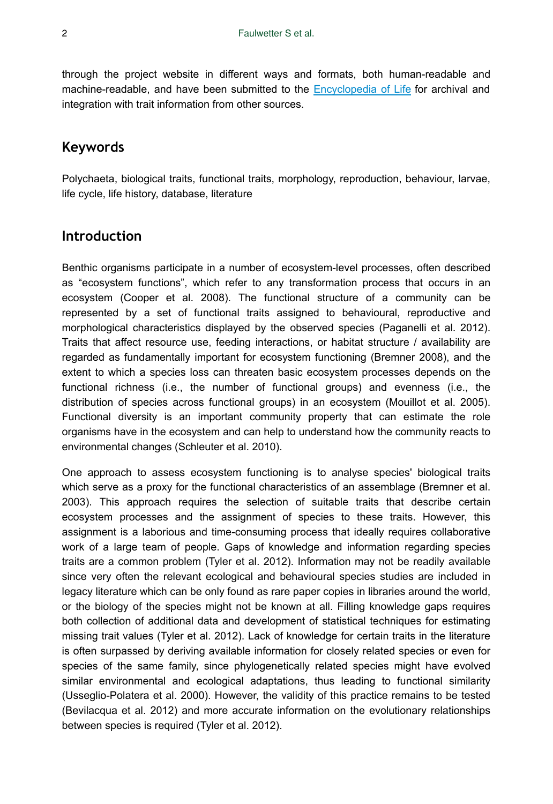through the project website in different ways and formats, both human-readable and machine-readable, and have been submitted to the [Encyclopedia of Life](http://eol.org/collections/97431) for archival and integration with trait information from other sources.

### **Keywords**

Polychaeta, biological traits, functional traits, morphology, reproduction, behaviour, larvae, life cycle, life history, database, literature

### **Introduction**

Benthic organisms participate in a number of ecosystem-level processes, often described as "ecosystem functions", which refer to any transformation process that occurs in an ecosystem (Cooper et al. 2008). The functional structure of a community can be represented by a set of functional traits assigned to behavioural, reproductive and morphological characteristics displayed by the observed species (Paganelli et al. 2012). Traits that affect resource use, feeding interactions, or habitat structure / availability are regarded as fundamentally important for ecosystem functioning (Bremner 2008), and the extent to which a species loss can threaten basic ecosystem processes depends on the functional richness (i.e., the number of functional groups) and evenness (i.e., the distribution of species across functional groups) in an ecosystem (Mouillot et al. 2005). Functional diversity is an important community property that can estimate the role organisms have in the ecosystem and can help to understand how the community reacts to environmental changes (Schleuter et al. 2010).

One approach to assess ecosystem functioning is to analyse species' biological traits which serve as a proxy for the functional characteristics of an assemblage (Bremner et al. 2003). This approach requires the selection of suitable traits that describe certain ecosystem processes and the assignment of species to these traits. However, this assignment is a laborious and time-consuming process that ideally requires collaborative work of a large team of people. Gaps of knowledge and information regarding species traits are a common problem (Tyler et al. 2012). Information may not be readily available since very often the relevant ecological and behavioural species studies are included in legacy literature which can be only found as rare paper copies in libraries around the world, or the biology of the species might not be known at all. Filling knowledge gaps requires both collection of additional data and development of statistical techniques for estimating missing trait values (Tyler et al. 2012). Lack of knowledge for certain traits in the literature is often surpassed by deriving available information for closely related species or even for species of the same family, since phylogenetically related species might have evolved similar environmental and ecological adaptations, thus leading to functional similarity (Usseglio-Polatera et al. 2000). However, the validity of this practice remains to be tested (Bevilacqua et al. 2012) and more accurate information on the evolutionary relationships between species is required (Tyler et al. 2012).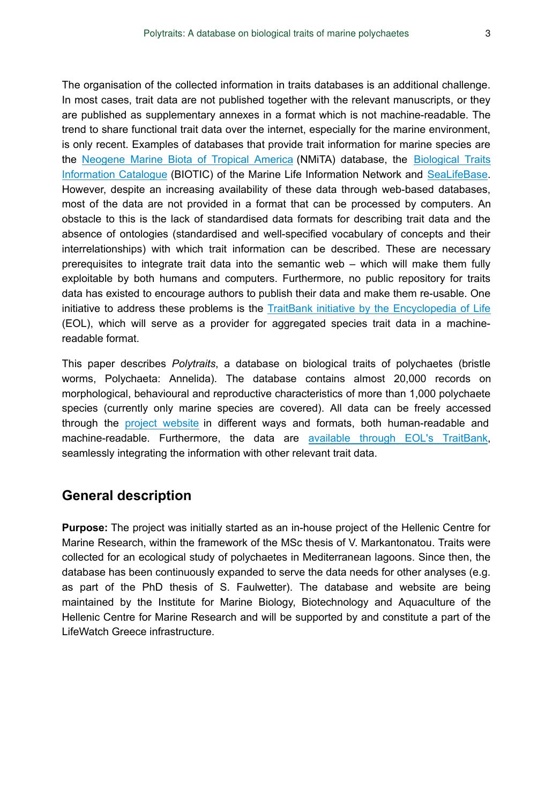The organisation of the collected information in traits databases is an additional challenge. In most cases, trait data are not published together with the relevant manuscripts, or they are published as supplementary annexes in a format which is not machine-readable. The trend to share functional trait data over the internet, especially for the marine environment, is only recent. Examples of databases that provide trait information for marine species are the [Neogene Marine Biota of Tropical America](http://eusmilia.geology.uiowa.edu) (NMiTA) database, the [Biological Traits](http://www.marlin.ac.uk/biotic) [Information Catalogue](http://www.marlin.ac.uk/biotic) (BIOTIC) of the Marine Life Information Network and [SeaLifeBase.](http://www.sealifebase.org) However, despite an increasing availability of these data through web-based databases, most of the data are not provided in a format that can be processed by computers. An obstacle to this is the lack of standardised data formats for describing trait data and the absence of ontologies (standardised and well-specified vocabulary of concepts and their interrelationships) with which trait information can be described. These are necessary prerequisites to integrate trait data into the semantic web – which will make them fully exploitable by both humans and computers. Furthermore, no public repository for traits data has existed to encourage authors to publish their data and make them re-usable. One initiative to address these problems is the [TraitBank initiative by the Encyclopedia of Life](http://eol.org/traitbank) (EOL), which will serve as a provider for aggregated species trait data in a machinereadable format.

This paper describes *Polytraits*, a database on biological traits of polychaetes (bristle worms, Polychaeta: Annelida). The database contains almost 20,000 records on morphological, behavioural and reproductive characteristics of more than 1,000 polychaete species (currently only marine species are covered). All data can be freely accessed through the [project website](http://polytraits.lifewatchgreece.eu) in different ways and formats, both human-readable and machine-readable. Furthermore, the data are [available through EOL's TraitBank,](http://eol.org/collections/97431) seamlessly integrating the information with other relevant trait data.

# **General description**

**Purpose:** The project was initially started as an in-house project of the Hellenic Centre for Marine Research, within the framework of the MSc thesis of V. Markantonatou. Traits were collected for an ecological study of polychaetes in Mediterranean lagoons. Since then, the database has been continuously expanded to serve the data needs for other analyses (e.g. as part of the PhD thesis of S. Faulwetter). The database and website are being maintained by the Institute for Marine Biology, Biotechnology and Aquaculture of the Hellenic Centre for Marine Research and will be supported by and constitute a part of the LifeWatch Greece infrastructure.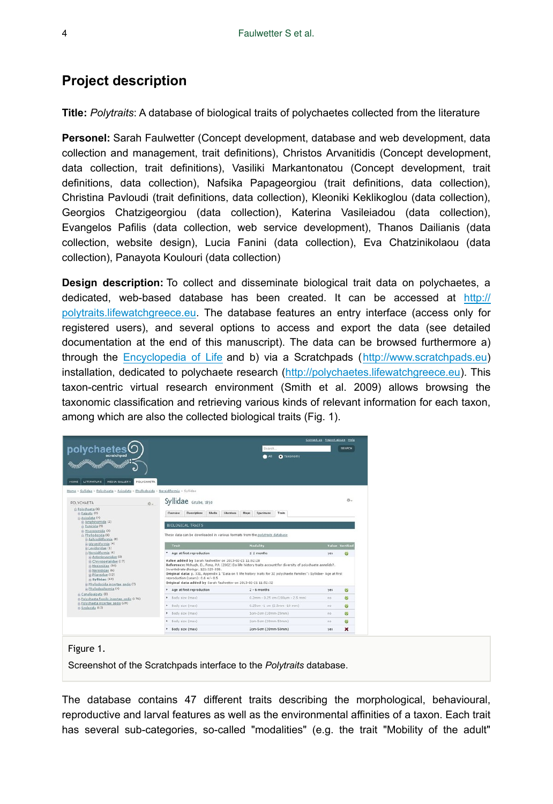# **Project description**

**Title:** *Polytraits*: A database of biological traits of polychaetes collected from the literature

**Personel:** Sarah Faulwetter (Concept development, database and web development, data collection and management, trait definitions), Christos Arvanitidis (Concept development, data collection, trait definitions), Vasiliki Markantonatou (Concept development, trait definitions, data collection), Nafsika Papageorgiou (trait definitions, data collection), Christina Pavloudi (trait definitions, data collection), Kleoniki Keklikoglou (data collection), Georgios Chatzigeorgiou (data collection), Katerina Vasileiadou (data collection), Evangelos Pafilis (data collection, web service development), Thanos Dailianis (data collection, website design), Lucia Fanini (data collection), Eva Chatzinikolaou (data collection), Panayota Koulouri (data collection)

**Design description:** To collect and disseminate biological trait data on polychaetes, a dedicated, web-based database has been created. It can be accessed at [http://](http://polytraits.lifewatchgreece.eu) [polytraits.lifewatchgreece.eu](http://polytraits.lifewatchgreece.eu). The database features an entry interface (access only for registered users), and several options to access and export the data (see detailed documentation at the end of this manuscript). The data can be browsed furthermore a) through the [Encyclopedia of Life](http://eol.org/collections/97431) and b) via a Scratchpads ([http://www.scratchpads.eu](http://www.scratchpads.eu/)) installation, dedicated to polychaete research ([http://polychaetes.lifewatchgreece.eu\)](http://polychaetes.lifewatchgreece.eu/). This taxon-centric virtual research environment (Smith et al. 2009) allows browsing the taxonomic classification and retrieving various kinds of relevant information for each taxon, among which are also the collected biological traits (Fig. 1).

|                                                                                                                                                                 |                                                                                                                      |                                                                                                                | Contact us Report abuse Help |  |  |  |
|-----------------------------------------------------------------------------------------------------------------------------------------------------------------|----------------------------------------------------------------------------------------------------------------------|----------------------------------------------------------------------------------------------------------------|------------------------------|--|--|--|
| polychaetes                                                                                                                                                     |                                                                                                                      | Search.                                                                                                        | SEARCH                       |  |  |  |
| scratchpad<br><b>MIIIz</b>                                                                                                                                      |                                                                                                                      | A<br><b>O</b> Taxonomy                                                                                         |                              |  |  |  |
|                                                                                                                                                                 |                                                                                                                      |                                                                                                                |                              |  |  |  |
|                                                                                                                                                                 |                                                                                                                      |                                                                                                                |                              |  |  |  |
| <b>LITERATURE</b><br>MEDIA GALLERY<br><b>POLYCHAETA</b><br><b>HOME</b>                                                                                          |                                                                                                                      |                                                                                                                |                              |  |  |  |
| Home > Syllidae > Polychaeta > Aciculata > Phyllodocida > Nereidiformia > Syllidae                                                                              |                                                                                                                      |                                                                                                                |                              |  |  |  |
|                                                                                                                                                                 | Syllidae Grube, 1850                                                                                                 |                                                                                                                | ö.                           |  |  |  |
| POLYCHAFTA                                                                                                                                                      | $\alpha$                                                                                                             |                                                                                                                |                              |  |  |  |
| ri Polychaeta (6)<br>si: Palpata (2)                                                                                                                            | Media<br><b>Descriptions</b><br>Overview                                                                             | Maps<br>Traits<br>Literature<br>Specimens                                                                      |                              |  |  |  |
| Aciculata (4)<br>is Amphinomida (2)                                                                                                                             |                                                                                                                      |                                                                                                                |                              |  |  |  |
| m. Eunicida (9)                                                                                                                                                 |                                                                                                                      | <b>BIOLOGICAL TRAITS</b>                                                                                       |                              |  |  |  |
| @ Myzostomida (3)<br>m Phyllodocida (6)<br>(a) Aphroditiformia (8)<br>in Glyceriformia (4)<br>st Levidoridae (1)<br>A Nereidiformia (6)<br>@ Antonbruunidae (2) |                                                                                                                      | These data can be downloaded in various formats from the polytraits database                                   |                              |  |  |  |
|                                                                                                                                                                 | Trait                                                                                                                | <b>Modality</b>                                                                                                | Value Verified               |  |  |  |
|                                                                                                                                                                 | Age at first reproduction                                                                                            | $≤$ 2 months                                                                                                   | $\circ$<br>ves               |  |  |  |
| ra Chrysopetalidae (17)                                                                                                                                         | Value added by Sarah Faulwetter on 2013-02-21 11:52:28                                                               |                                                                                                                |                              |  |  |  |
| E Hesionidae (30)<br>sh Nereididae (6)                                                                                                                          | Invertebrate Biology, 121:325-338.                                                                                   | Reference: Mchugh, D., Fong, P.P. (2002) Do life history traits account for diversity of polychaete annelids?. |                              |  |  |  |
| ra Pilaroidae (12)                                                                                                                                              | Original data: p. 331, Appendix 1 "Data on 5 life history traits for 32 polychaete Families": Syllidae- Age at first |                                                                                                                |                              |  |  |  |
| $E$ Syllidae (63)<br>so Phyllodocida incertae sedis (7)                                                                                                         | reproduction (years): 0.6 +/- 0.5<br>Original data added by Sarah Faulwetter on 2013-02-21 11:52:32                  |                                                                                                                |                              |  |  |  |
| is Phyllodociformia (4)                                                                                                                                         | Age at first reproduction<br>١                                                                                       | $2 - 6$ months                                                                                                 | $\circ$<br>yes.              |  |  |  |
| si Canalipalpata (3)<br>@ Polychaeta fossils incertae sedis (176)                                                                                               | Body size (max)<br>۱                                                                                                 | 0.2mm - 0.25 cm (200um - 2.5 mm)                                                                               | ø<br>no                      |  |  |  |
| si Polychaeta incertae sedis (29)<br>scolecida (12)                                                                                                             | Body size (max)<br>٠                                                                                                 | 0.25cm -1 cm (2.5mm -10 mm)                                                                                    | ø<br>no                      |  |  |  |
|                                                                                                                                                                 | Body size (max)<br>٠                                                                                                 | 1cm-2cm (10mm-20mm)                                                                                            | ø<br>no                      |  |  |  |
|                                                                                                                                                                 | <b>Body size (max)</b>                                                                                               | 2cm-5cm (20mm-50mm)                                                                                            | ø<br>no                      |  |  |  |
|                                                                                                                                                                 |                                                                                                                      |                                                                                                                |                              |  |  |  |

Figure 1.

Screenshot of the Scratchpads interface to the *Polytraits* database.

The database contains 47 different traits describing the morphological, behavioural, reproductive and larval features as well as the environmental affinities of a taxon. Each trait has several sub-categories, so-called "modalities" (e.g. the trait "Mobility of the adult"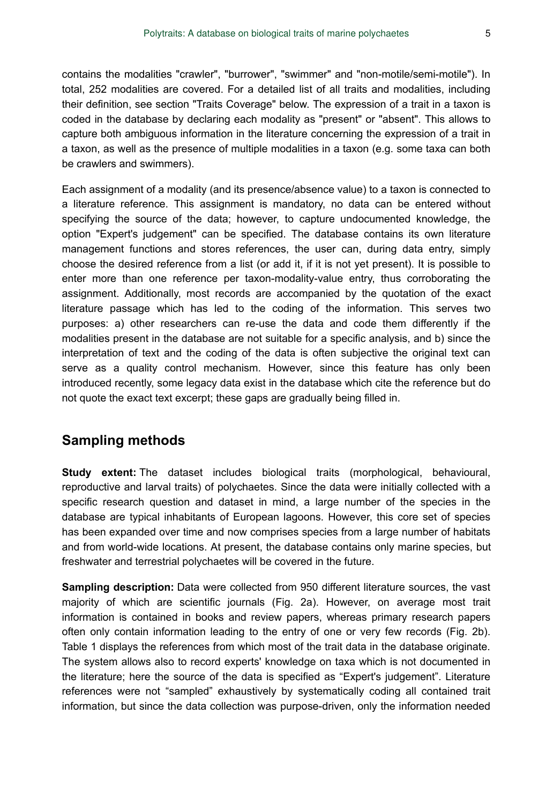contains the modalities "crawler", "burrower", "swimmer" and "non-motile/semi-motile"). In total, 252 modalities are covered. For a detailed list of all traits and modalities, including their definition, see section "Traits Coverage" below. The expression of a trait in a taxon is coded in the database by declaring each modality as "present" or "absent". This allows to capture both ambiguous information in the literature concerning the expression of a trait in a taxon, as well as the presence of multiple modalities in a taxon (e.g. some taxa can both be crawlers and swimmers).

Each assignment of a modality (and its presence/absence value) to a taxon is connected to a literature reference. This assignment is mandatory, no data can be entered without specifying the source of the data; however, to capture undocumented knowledge, the option "Expert's judgement" can be specified. The database contains its own literature management functions and stores references, the user can, during data entry, simply choose the desired reference from a list (or add it, if it is not yet present). It is possible to enter more than one reference per taxon-modality-value entry, thus corroborating the assignment. Additionally, most records are accompanied by the quotation of the exact literature passage which has led to the coding of the information. This serves two purposes: a) other researchers can re-use the data and code them differently if the modalities present in the database are not suitable for a specific analysis, and b) since the interpretation of text and the coding of the data is often subjective the original text can serve as a quality control mechanism. However, since this feature has only been introduced recently, some legacy data exist in the database which cite the reference but do not quote the exact text excerpt; these gaps are gradually being filled in.

### **Sampling methods**

**Study extent:** The dataset includes biological traits (morphological, behavioural, reproductive and larval traits) of polychaetes. Since the data were initially collected with a specific research question and dataset in mind, a large number of the species in the database are typical inhabitants of European lagoons. However, this core set of species has been expanded over time and now comprises species from a large number of habitats and from world-wide locations. At present, the database contains only marine species, but freshwater and terrestrial polychaetes will be covered in the future.

Sampling description: Data were collected from 950 different literature sources, the vast majority of which are scientific journals (Fig. 2a). However, on average most trait information is contained in books and review papers, whereas primary research papers often only contain information leading to the entry of one or very few records (Fig. 2b). Table 1 displays the references from which most of the trait data in the database originate. The system allows also to record experts' knowledge on taxa which is not documented in the literature; here the source of the data is specified as "Expert's judgement". Literature references were not "sampled" exhaustively by systematically coding all contained trait information, but since the data collection was purpose-driven, only the information needed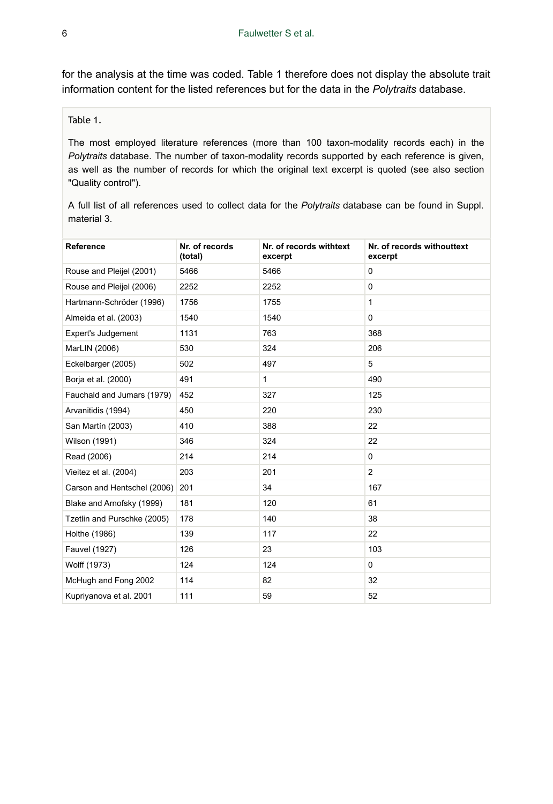for the analysis at the time was coded. Table 1 therefore does not display the absolute trait information content for the listed references but for the data in the *Polytraits* database.

Table 1.

The most employed literature references (more than 100 taxon-modality records each) in the *Polytraits* database. The number of taxon-modality records supported by each reference is given, as well as the number of records for which the original text excerpt is quoted (see also section "Quality control").

A full list of all references used to collect data for the *Polytraits* database can be found in Suppl. material 3.

| Reference                   | Nr. of records<br>(total) | Nr. of records withtext<br>excerpt | Nr. of records withouttext<br>excerpt |
|-----------------------------|---------------------------|------------------------------------|---------------------------------------|
| Rouse and Pleijel (2001)    | 5466                      | 5466                               | $\Omega$                              |
| Rouse and Pleijel (2006)    | 2252                      | 2252                               | $\mathbf 0$                           |
| Hartmann-Schröder (1996)    | 1756                      | 1755                               | $\mathbf{1}$                          |
| Almeida et al. (2003)       | 1540                      | 1540                               | $\Omega$                              |
| <b>Expert's Judgement</b>   | 1131                      | 763                                | 368                                   |
| MarLIN (2006)               | 530                       | 324                                | 206                                   |
| Eckelbarger (2005)          | 502                       | 497                                | 5                                     |
| Borja et al. (2000)         | 491                       | 1                                  | 490                                   |
| Fauchald and Jumars (1979)  | 452                       | 327                                | 125                                   |
| Arvanitidis (1994)          | 450                       | 220                                | 230                                   |
| San Martín (2003)           | 410                       | 388                                | 22                                    |
| Wilson (1991)               | 346                       | 324                                | 22                                    |
| Read (2006)                 | 214                       | 214                                | 0                                     |
| Vieitez et al. (2004)       | 203                       | 201                                | $\overline{2}$                        |
| Carson and Hentschel (2006) | 201                       | 34                                 | 167                                   |
| Blake and Arnofsky (1999)   | 181                       | 120                                | 61                                    |
| Tzetlin and Purschke (2005) | 178                       | 140                                | 38                                    |
| Holthe (1986)               | 139                       | 117                                | 22                                    |
| Fauvel (1927)               | 126                       | 23                                 | 103                                   |
| Wolff (1973)                | 124                       | 124                                | 0                                     |
| McHugh and Fong 2002        | 114                       | 82                                 | 32                                    |
| Kupriyanova et al. 2001     | 111                       | 59                                 | 52                                    |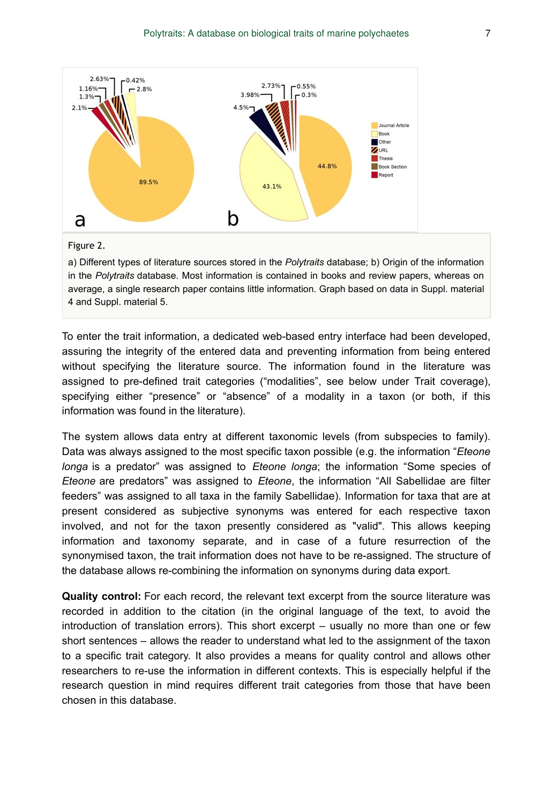

a) Different types of literature sources stored in the *Polytraits* database; b) Origin of the information in the *Polytraits* database. Most information is contained in books and review papers, whereas on average, a single research paper contains little information. Graph based on data in Suppl. material 4 and Suppl. material 5.

To enter the trait information, a dedicated web-based entry interface had been developed, assuring the integrity of the entered data and preventing information from being entered without specifying the literature source. The information found in the literature was assigned to pre-defined trait categories ("modalities", see below under Trait coverage), specifying either "presence" or "absence" of a modality in a taxon (or both, if this information was found in the literature).

The system allows data entry at different taxonomic levels (from subspecies to family). Data was always assigned to the most specific taxon possible (e.g. the information "*Eteone longa* is a predator" was assigned to *Eteone longa*; the information "Some species of *Eteone* are predators" was assigned to *Eteone*, the information "All Sabellidae are filter feeders" was assigned to all taxa in the family Sabellidae). Information for taxa that are at present considered as subjective synonyms was entered for each respective taxon involved, and not for the taxon presently considered as "valid". This allows keeping information and taxonomy separate, and in case of a future resurrection of the synonymised taxon, the trait information does not have to be re-assigned. The structure of the database allows re-combining the information on synonyms during data export.

**Quality control:** For each record, the relevant text excerpt from the source literature was recorded in addition to the citation (in the original language of the text, to avoid the introduction of translation errors). This short excerpt – usually no more than one or few short sentences – allows the reader to understand what led to the assignment of the taxon to a specific trait category. It also provides a means for quality control and allows other researchers to re-use the information in different contexts. This is especially helpful if the research question in mind requires different trait categories from those that have been chosen in this database.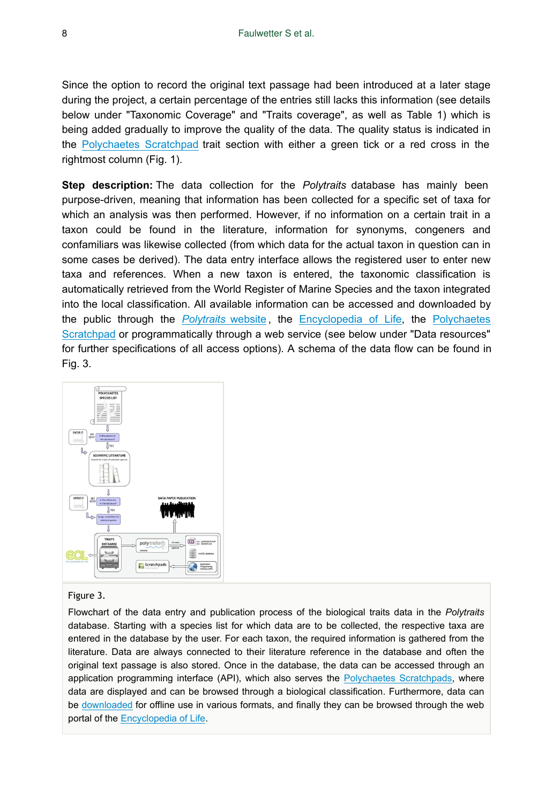Since the option to record the original text passage had been introduced at a later stage during the project, a certain percentage of the entries still lacks this information (see details below under "Taxonomic Coverage" and "Traits coverage", as well as Table 1) which is being added gradually to improve the quality of the data. The quality status is indicated in the [Polychaetes Scratchpad](http://polychaetes.lifewatchgreece.eu) trait section with either a green tick or a red cross in the rightmost column (Fig. 1).

**Step description:** The data collection for the *Polytraits* database has mainly been purpose-driven, meaning that information has been collected for a specific set of taxa for which an analysis was then performed. However, if no information on a certain trait in a taxon could be found in the literature, information for synonyms, congeners and confamiliars was likewise collected (from which data for the actual taxon in question can in some cases be derived). The data entry interface allows the registered user to enter new taxa and references. When a new taxon is entered, the taxonomic classification is automatically retrieved from the World Register of Marine Species and the taxon integrated into the local classification. All available information can be accessed and downloaded by the public through the *[Polytraits](http://polytraits.lifewatchgreece.eu)* website , the [Encyclopedia of Life](http://eol.org/collections/97431), the [Polychaetes](http://polychaetes.lifewatchgreece.eu) [Scratchpad](http://polychaetes.lifewatchgreece.eu) or programmatically through a web service (see below under "Data resources" for further specifications of all access options). A schema of the data flow can be found in Fig. 3.



#### Figure 3.

Flowchart of the data entry and publication process of the biological traits data in the *Polytraits* database. Starting with a species list for which data are to be collected, the respective taxa are entered in the database by the user. For each taxon, the required information is gathered from the literature. Data are always connected to their literature reference in the database and often the original text passage is also stored. Once in the database, the data can be accessed through an application programming interface (API), which also serves the [Polychaetes Scratchpads,](http://polychaetes.lifewatchgreece.eu) where data are displayed and can be browsed through a biological classification. Furthermore, data can be [downloaded](http://polytraits.lifewatchgreece.eu/download) for offline use in various formats, and finally they can be browsed through the web portal of the [Encyclopedia of Life.](http://eol.org/collections/97431)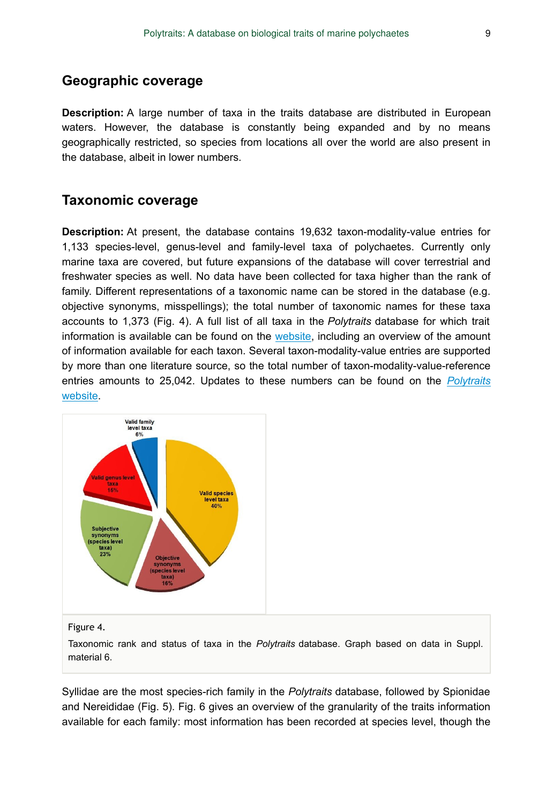### **Geographic coverage**

**Description:** A large number of taxa in the traits database are distributed in European waters. However, the database is constantly being expanded and by no means geographically restricted, so species from locations all over the world are also present in the database, albeit in lower numbers.

### **Taxonomic coverage**

**Description:** At present, the database contains 19,632 taxon-modality-value entries for 1,133 species-level, genus-level and family-level taxa of polychaetes. Currently only marine taxa are covered, but future expansions of the database will cover terrestrial and freshwater species as well. No data have been collected for taxa higher than the rank of family. Different representations of a taxonomic name can be stored in the database (e.g. objective synonyms, misspellings); the total number of taxonomic names for these taxa accounts to 1,373 (Fig. 4). A full list of all taxa in the *Polytraits* database for which trait information is available can be found on the [website](http://polytraits.lifewatchgreece.eu/taxa), including an overview of the amount of information available for each taxon. Several taxon-modality-value entries are supported by more than one literature source, so the total number of taxon-modality-value-reference entries amounts to 25,042. Updates to these numbers can be found on the *[Polytraits](http://polytraits.lifewatchgreece.eu)* [website.](http://polytraits.lifewatchgreece.eu)



#### Figure 4.

Taxonomic rank and status of taxa in the *Polytraits* database. Graph based on data in Suppl. material 6.

Syllidae are the most species-rich family in the *Polytraits* database, followed by Spionidae and Nereididae (Fig. 5). Fig. 6 gives an overview of the granularity of the traits information available for each family: most information has been recorded at species level, though the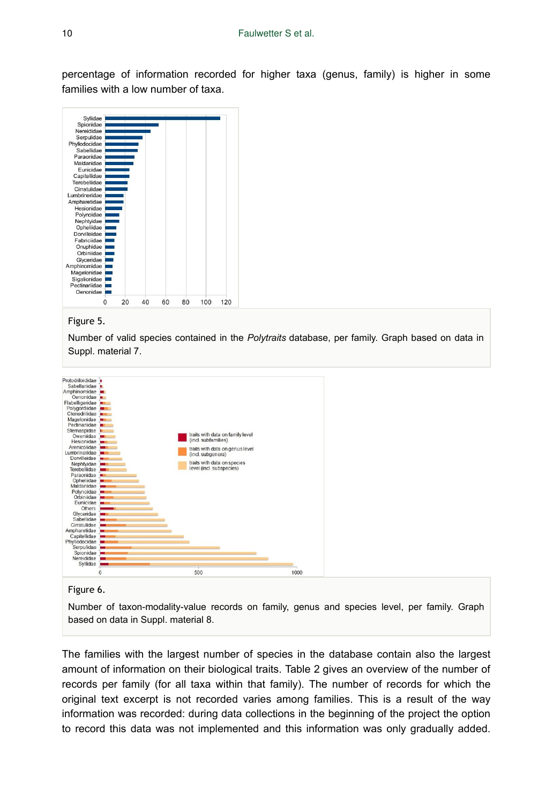percentage of information recorded for higher taxa (genus, family) is higher in some families with a low number of taxa.



Figure 5.

Number of valid species contained in the *Polytraits* database, per family. Graph based on data in Suppl. material 7.



Figure 6.

Number of taxon-modality-value records on family, genus and species level, per family. Graph based on data in Suppl. material 8.

The families with the largest number of species in the database contain also the largest amount of information on their biological traits. Table 2 gives an overview of the number of records per family (for all taxa within that family). The number of records for which the original text excerpt is not recorded varies among families. This is a result of the way information was recorded: during data collections in the beginning of the project the option to record this data was not implemented and this information was only gradually added.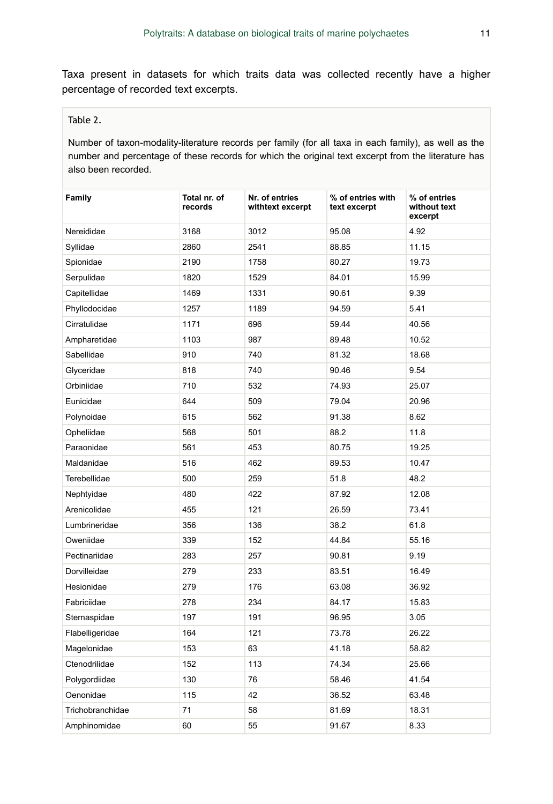Taxa present in datasets for which traits data was collected recently have a higher percentage of recorded text excerpts.

### Table 2.

Number of taxon-modality-literature records per family (for all taxa in each family), as well as the number and percentage of these records for which the original text excerpt from the literature has also been recorded.

| Family           | Total nr. of<br>records | Nr. of entries<br>withtext excerpt | % of entries with<br>text excerpt | % of entries<br>without text<br>excerpt |
|------------------|-------------------------|------------------------------------|-----------------------------------|-----------------------------------------|
| Nereididae       | 3168                    | 3012                               | 95.08                             | 4.92                                    |
| Syllidae         | 2860                    | 2541                               | 88.85                             | 11.15                                   |
| Spionidae        | 2190                    | 1758                               | 80.27                             | 19.73                                   |
| Serpulidae       | 1820                    | 1529                               | 84.01                             | 15.99                                   |
| Capitellidae     | 1469                    | 1331                               | 90.61                             | 9.39                                    |
| Phyllodocidae    | 1257                    | 1189                               | 94.59                             | 5.41                                    |
| Cirratulidae     | 1171                    | 696                                | 59.44                             | 40.56                                   |
| Ampharetidae     | 1103                    | 987                                | 89.48                             | 10.52                                   |
| Sabellidae       | 910                     | 740                                | 81.32                             | 18.68                                   |
| Glyceridae       | 818                     | 740                                | 90.46                             | 9.54                                    |
| Orbiniidae       | 710                     | 532                                | 74.93                             | 25.07                                   |
| Eunicidae        | 644                     | 509                                | 79.04                             | 20.96                                   |
| Polynoidae       | 615                     | 562                                | 91.38                             | 8.62                                    |
| Opheliidae       | 568                     | 501                                | 88.2                              | 11.8                                    |
| Paraonidae       | 561                     | 453                                | 80.75                             | 19.25                                   |
| Maldanidae       | 516                     | 462                                | 89.53                             | 10.47                                   |
| Terebellidae     | 500                     | 259                                | 51.8                              | 48.2                                    |
| Nephtyidae       | 480                     | 422                                | 87.92                             | 12.08                                   |
| Arenicolidae     | 455                     | 121                                | 26.59                             | 73.41                                   |
| Lumbrineridae    | 356                     | 136                                | 38.2                              | 61.8                                    |
| Oweniidae        | 339                     | 152                                | 44.84                             | 55.16                                   |
| Pectinariidae    | 283                     | 257                                | 90.81                             | 9.19                                    |
| Dorvilleidae     | 279                     | 233                                | 83.51                             | 16.49                                   |
| Hesionidae       | 279                     | 176                                | 63.08                             | 36.92                                   |
| Fabriciidae      | 278                     | 234                                | 84.17                             | 15.83                                   |
| Sternaspidae     | 197                     | 191                                | 96.95                             | 3.05                                    |
| Flabelligeridae  | 164                     | 121                                | 73.78                             | 26.22                                   |
| Magelonidae      | 153                     | 63                                 | 41.18                             | 58.82                                   |
| Ctenodrilidae    | 152                     | 113                                | 74.34                             | 25.66                                   |
| Polygordiidae    | 130                     | 76                                 | 58.46                             | 41.54                                   |
| Oenonidae        | 115                     | 42                                 | 36.52                             | 63.48                                   |
| Trichobranchidae | 71                      | 58                                 | 81.69                             | 18.31                                   |
| Amphinomidae     | 60                      | 55                                 | 91.67                             | 8.33                                    |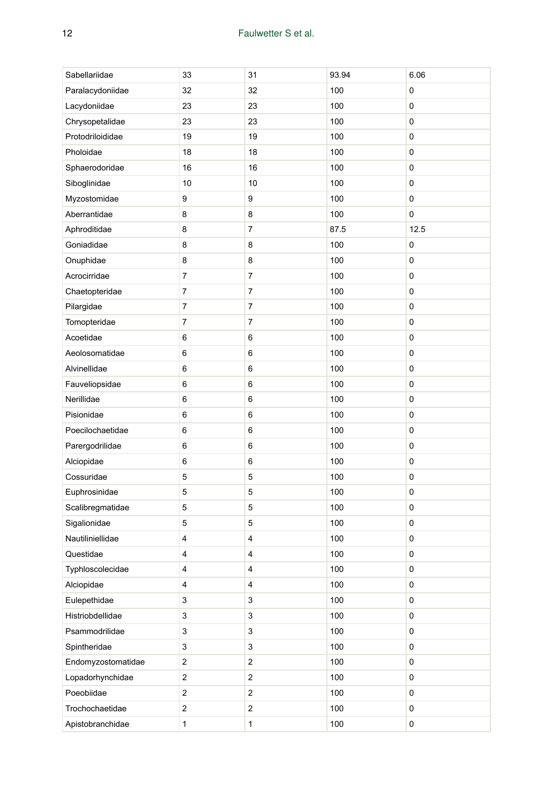| Sabellariidae      | 33                      | 31                      | 93.94 | 6.06 |
|--------------------|-------------------------|-------------------------|-------|------|
| Paralacydoniidae   | 32                      | 32                      | 100   | 0    |
| Lacydoniidae       | 23                      | 23                      | 100   | 0    |
| Chrysopetalidae    | 23                      | 23                      | 100   | 0    |
| Protodriloididae   | 19                      | 19                      | 100   | 0    |
| Pholoidae          | 18                      | 18                      | 100   | 0    |
| Sphaerodoridae     | 16                      | 16                      | 100   | 0    |
| Siboglinidae       | 10                      | 10                      | 100   | 0    |
| Myzostomidae       | 9                       | 9                       | 100   | 0    |
| Aberrantidae       | 8                       | 8                       | 100   | 0    |
| Aphroditidae       | 8                       | 7                       | 87.5  | 12.5 |
| Goniadidae         | 8                       | 8                       | 100   | 0    |
| Onuphidae          | 8                       | 8                       | 100   | 0    |
| Acrocirridae       | 7                       | 7                       | 100   | 0    |
| Chaetopteridae     | 7                       | $\overline{\mathbf{7}}$ | 100   | 0    |
| Pilargidae         | 7                       | 7                       | 100   | 0    |
| Tomopteridae       | 7                       | 7                       | 100   | 0    |
| Acoetidae          | 6                       | 6                       | 100   | 0    |
| Aeolosomatidae     | 6                       | 6                       | 100   | 0    |
| Alvinellidae       | 6                       | 6                       | 100   | 0    |
| Fauveliopsidae     | 6                       | 6                       | 100   | 0    |
| Nerillidae         | 6                       | 6                       | 100   | 0    |
| Pisionidae         | 6                       | 6                       | 100   | 0    |
| Poecilochaetidae   | 6                       | 6                       | 100   | 0    |
| Parergodrilidae    | 6                       | 6                       | 100   | 0    |
| Alciopidae         | 6                       | $\,6$                   | 100   | 0    |
| Cossuridae         | 5                       | 5                       | 100   | 0    |
| Euphrosinidae      | 5                       | 5                       | 100   | 0    |
| Scalibregmatidae   | 5                       | 5                       | 100   | 0    |
| Sigalionidae       | 5                       | 5                       | 100   | 0    |
| Nautiliniellidae   | 4                       | 4                       | 100   | 0    |
| Questidae          | 4                       | 4                       | 100   | 0    |
| Typhloscolecidae   | 4                       | 4                       | 100   | 0    |
| Alciopidae         | 4                       | 4                       | 100   | 0    |
| Eulepethidae       | 3                       | 3                       | 100   | 0    |
| Histriobdellidae   | 3                       | 3                       | 100   | 0    |
| Psammodrilidae     | 3                       | 3                       | 100   | 0    |
| Spintheridae       | 3                       | 3                       | 100   | 0    |
| Endomyzostomatidae | 2                       | $\overline{c}$          | 100   | 0    |
| Lopadorhynchidae   | $\overline{\mathbf{c}}$ | $\overline{c}$          | 100   | 0    |
| Poeobiidae         | $\overline{\mathbf{c}}$ | $\overline{c}$          | 100   | 0    |
| Trochochaetidae    | $\overline{\mathbf{c}}$ | $\overline{c}$          | 100   | 0    |
| Apistobranchidae   | $\mathbf{1}$            | $\mathbf{1}$            | 100   | 0    |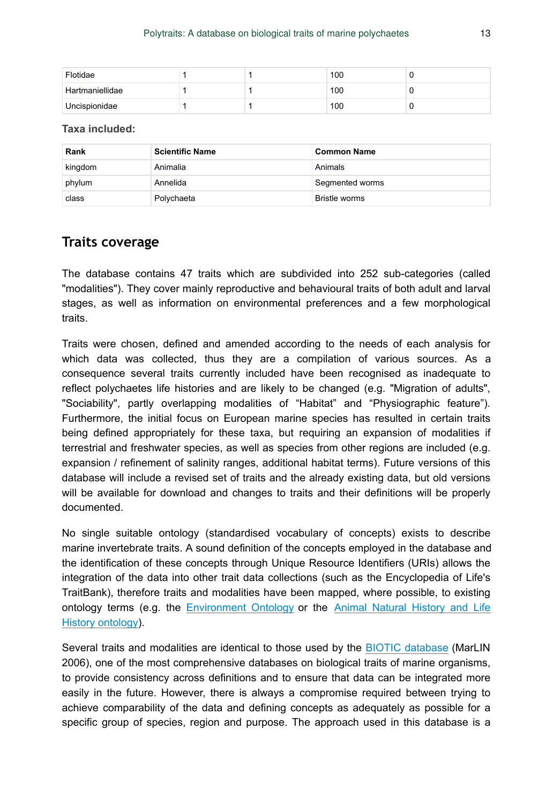| Flotidae        |  | 100 |  |
|-----------------|--|-----|--|
| Hartmaniellidae |  | 100 |  |
| Uncispionidae   |  | 100 |  |

**Taxa included:**

| Rank    | <b>Scientific Name</b> | <b>Common Name</b> |
|---------|------------------------|--------------------|
| kingdom | Animalia               | Animals            |
| phylum  | Annelida               | Segmented worms    |
| class   | Polychaeta             | Bristle worms      |

### **Traits coverage**

The database contains 47 traits which are subdivided into 252 sub-categories (called "modalities"). They cover mainly reproductive and behavioural traits of both adult and larval stages, as well as information on environmental preferences and a few morphological traits.

Traits were chosen, defined and amended according to the needs of each analysis for which data was collected, thus they are a compilation of various sources. As a consequence several traits currently included have been recognised as inadequate to reflect polychaetes life histories and are likely to be changed (e.g. "Migration of adults", "Sociability", partly overlapping modalities of "Habitat" and "Physiographic feature"). Furthermore, the initial focus on European marine species has resulted in certain traits being defined appropriately for these taxa, but requiring an expansion of modalities if terrestrial and freshwater species, as well as species from other regions are included (e.g. expansion / refinement of salinity ranges, additional habitat terms). Future versions of this database will include a revised set of traits and the already existing data, but old versions will be available for download and changes to traits and their definitions will be properly documented.

No single suitable ontology (standardised vocabulary of concepts) exists to describe marine invertebrate traits. A sound definition of the concepts employed in the database and the identification of these concepts through Unique Resource Identifiers (URIs) allows the integration of the data into other trait data collections (such as the Encyclopedia of Life's TraitBank), therefore traits and modalities have been mapped, where possible, to existing ontology terms (e.g. the [Environment Ontology](http://purl.bioontology.org/ontology/ENVO) or the [Animal Natural History and Life](http://purl.bioontology.org/ontology/ADW) [History ontology\)](http://purl.bioontology.org/ontology/ADW).

Several traits and modalities are identical to those used by the [BIOTIC database](http://www.marlin.ac.uk/biotic/glossaries.php) (MarLIN 2006), one of the most comprehensive databases on biological traits of marine organisms, to provide consistency across definitions and to ensure that data can be integrated more easily in the future. However, there is always a compromise required between trying to achieve comparability of the data and defining concepts as adequately as possible for a specific group of species, region and purpose. The approach used in this database is a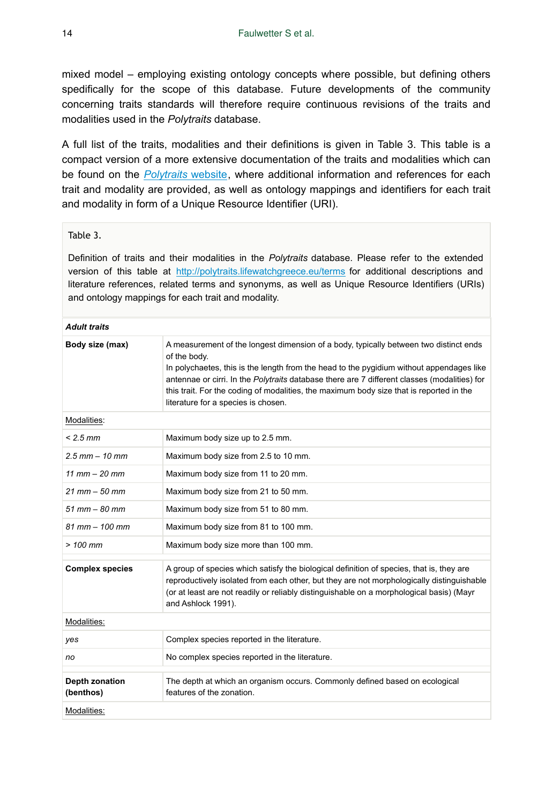mixed model – employing existing ontology concepts where possible, but defining others spedifically for the scope of this database. Future developments of the community concerning traits standards will therefore require continuous revisions of the traits and modalities used in the *Polytraits* database.

A full list of the traits, modalities and their definitions is given in Table 3. This table is a compact version of a more extensive documentation of the traits and modalities which can be found on the *[Polytraits](http://polytraits.lifewatchgreece.eu/terms)* website, where additional information and references for each trait and modality are provided, as well as ontology mappings and identifiers for each trait and modality in form of a Unique Resource Identifier (URI).

### Table 3.

Definition of traits and their modalities in the *Polytraits* database. Please refer to the extended version of this table at <http://polytraits.lifewatchgreece.eu/terms> for additional descriptions and literature references, related terms and synonyms, as well as Unique Resource Identifiers (URIs) and ontology mappings for each trait and modality.

#### *Adult traits*

| Body size (max)             | A measurement of the longest dimension of a body, typically between two distinct ends<br>of the body.<br>In polychaetes, this is the length from the head to the pygidium without appendages like<br>antennae or cirri. In the Polytraits database there are 7 different classes (modalities) for<br>this trait. For the coding of modalities, the maximum body size that is reported in the<br>literature for a species is chosen. |
|-----------------------------|-------------------------------------------------------------------------------------------------------------------------------------------------------------------------------------------------------------------------------------------------------------------------------------------------------------------------------------------------------------------------------------------------------------------------------------|
| Modalities:                 |                                                                                                                                                                                                                                                                                                                                                                                                                                     |
| $< 2.5$ mm                  | Maximum body size up to 2.5 mm.                                                                                                                                                                                                                                                                                                                                                                                                     |
| $2.5$ mm $- 10$ mm          | Maximum body size from 2.5 to 10 mm.                                                                                                                                                                                                                                                                                                                                                                                                |
| $11$ mm $-$ 20 mm           | Maximum body size from 11 to 20 mm.                                                                                                                                                                                                                                                                                                                                                                                                 |
| $21$ mm $-50$ mm            | Maximum body size from 21 to 50 mm.                                                                                                                                                                                                                                                                                                                                                                                                 |
| $51$ mm $-$ 80 mm           | Maximum body size from 51 to 80 mm.                                                                                                                                                                                                                                                                                                                                                                                                 |
| $81$ mm $- 100$ mm          | Maximum body size from 81 to 100 mm.                                                                                                                                                                                                                                                                                                                                                                                                |
| $>100$ mm                   | Maximum body size more than 100 mm.                                                                                                                                                                                                                                                                                                                                                                                                 |
| <b>Complex species</b>      | A group of species which satisfy the biological definition of species, that is, they are<br>reproductively isolated from each other, but they are not morphologically distinguishable<br>(or at least are not readily or reliably distinguishable on a morphological basis) (Mayr<br>and Ashlock 1991).                                                                                                                             |
| Modalities:                 |                                                                                                                                                                                                                                                                                                                                                                                                                                     |
| yes                         | Complex species reported in the literature.                                                                                                                                                                                                                                                                                                                                                                                         |
| no                          | No complex species reported in the literature.                                                                                                                                                                                                                                                                                                                                                                                      |
| Depth zonation<br>(benthos) | The depth at which an organism occurs. Commonly defined based on ecological<br>features of the zonation.                                                                                                                                                                                                                                                                                                                            |
| Modalities:                 |                                                                                                                                                                                                                                                                                                                                                                                                                                     |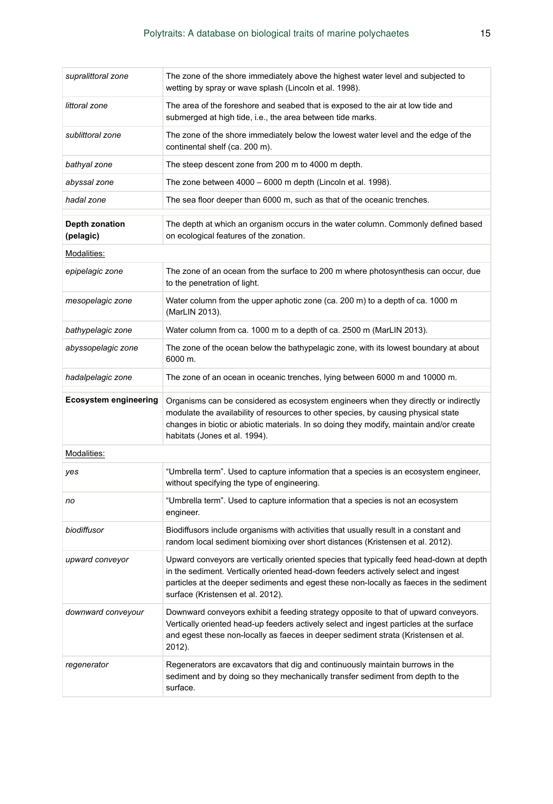| supralittoral zone           | The zone of the shore immediately above the highest water level and subjected to<br>wetting by spray or wave splash (Lincoln et al. 1998).                                                                                                                                                                   |
|------------------------------|--------------------------------------------------------------------------------------------------------------------------------------------------------------------------------------------------------------------------------------------------------------------------------------------------------------|
| littoral zone                | The area of the foreshore and seabed that is exposed to the air at low tide and<br>submerged at high tide, i.e., the area between tide marks.                                                                                                                                                                |
| sublittoral zone             | The zone of the shore immediately below the lowest water level and the edge of the<br>continental shelf (ca. 200 m).                                                                                                                                                                                         |
| bathyal zone                 | The steep descent zone from 200 m to 4000 m depth.                                                                                                                                                                                                                                                           |
| abyssal zone                 | The zone between 4000 - 6000 m depth (Lincoln et al. 1998).                                                                                                                                                                                                                                                  |
| hadal zone                   | The sea floor deeper than 6000 m, such as that of the oceanic trenches.                                                                                                                                                                                                                                      |
| Depth zonation<br>(pelagic)  | The depth at which an organism occurs in the water column. Commonly defined based<br>on ecological features of the zonation.                                                                                                                                                                                 |
| Modalities:                  |                                                                                                                                                                                                                                                                                                              |
| epipelagic zone              | The zone of an ocean from the surface to 200 m where photosynthesis can occur, due<br>to the penetration of light.                                                                                                                                                                                           |
| mesopelagic zone             | Water column from the upper aphotic zone (ca. 200 m) to a depth of ca. 1000 m<br>(MarLIN 2013).                                                                                                                                                                                                              |
| bathypelagic zone            | Water column from ca. 1000 m to a depth of ca. 2500 m (MarLIN 2013).                                                                                                                                                                                                                                         |
| abyssopelagic zone           | The zone of the ocean below the bathypelagic zone, with its lowest boundary at about<br>6000 m.                                                                                                                                                                                                              |
| hadalpelagic zone            | The zone of an ocean in oceanic trenches, lying between 6000 m and 10000 m.                                                                                                                                                                                                                                  |
| <b>Ecosystem engineering</b> | Organisms can be considered as ecosystem engineers when they directly or indirectly<br>modulate the availability of resources to other species, by causing physical state<br>changes in biotic or abiotic materials. In so doing they modify, maintain and/or create<br>habitats (Jones et al. 1994).        |
| Modalities:                  |                                                                                                                                                                                                                                                                                                              |
|                              |                                                                                                                                                                                                                                                                                                              |
| yes                          | "Umbrella term". Used to capture information that a species is an ecosystem engineer,<br>without specifying the type of engineering.                                                                                                                                                                         |
| no                           | "Umbrella term". Used to capture information that a species is not an ecosystem<br>engineer.                                                                                                                                                                                                                 |
| biodiffusor                  | Biodiffusors include organisms with activities that usually result in a constant and<br>random local sediment biomixing over short distances (Kristensen et al. 2012).                                                                                                                                       |
| upward conveyor              | Upward conveyors are vertically oriented species that typically feed head-down at depth<br>in the sediment. Vertically oriented head-down feeders actively select and ingest<br>particles at the deeper sediments and egest these non-locally as faeces in the sediment<br>surface (Kristensen et al. 2012). |
| downward conveyour           | Downward conveyors exhibit a feeding strategy opposite to that of upward conveyors.<br>Vertically oriented head-up feeders actively select and ingest particles at the surface<br>and egest these non-locally as faeces in deeper sediment strata (Kristensen et al.<br>2012).                               |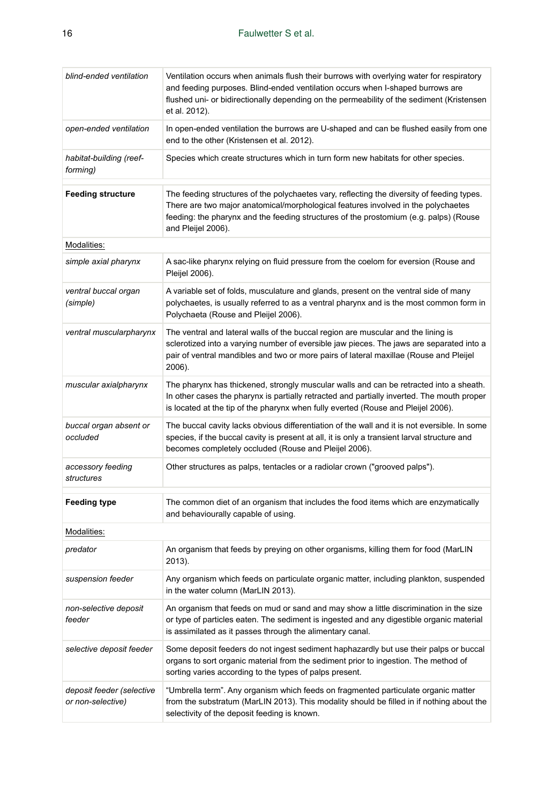| blind-ended ventilation                        | Ventilation occurs when animals flush their burrows with overlying water for respiratory<br>and feeding purposes. Blind-ended ventilation occurs when I-shaped burrows are<br>flushed uni- or bidirectionally depending on the permeability of the sediment (Kristensen<br>et al. 2012).       |
|------------------------------------------------|------------------------------------------------------------------------------------------------------------------------------------------------------------------------------------------------------------------------------------------------------------------------------------------------|
| open-ended ventilation                         | In open-ended ventilation the burrows are U-shaped and can be flushed easily from one<br>end to the other (Kristensen et al. 2012).                                                                                                                                                            |
| habitat-building (reef-<br>forming)            | Species which create structures which in turn form new habitats for other species.                                                                                                                                                                                                             |
| <b>Feeding structure</b>                       | The feeding structures of the polychaetes vary, reflecting the diversity of feeding types.<br>There are two major anatomical/morphological features involved in the polychaetes<br>feeding: the pharynx and the feeding structures of the prostomium (e.g. palps) (Rouse<br>and Pleijel 2006). |
| Modalities:                                    |                                                                                                                                                                                                                                                                                                |
| simple axial pharynx                           | A sac-like pharynx relying on fluid pressure from the coelom for eversion (Rouse and<br>Pleijel 2006).                                                                                                                                                                                         |
| ventral buccal organ<br>(simple)               | A variable set of folds, musculature and glands, present on the ventral side of many<br>polychaetes, is usually referred to as a ventral pharynx and is the most common form in<br>Polychaeta (Rouse and Pleijel 2006).                                                                        |
| ventral muscularpharynx                        | The ventral and lateral walls of the buccal region are muscular and the lining is<br>sclerotized into a varying number of eversible jaw pieces. The jaws are separated into a<br>pair of ventral mandibles and two or more pairs of lateral maxillae (Rouse and Pleijel<br>2006).              |
| muscular axialpharynx                          | The pharynx has thickened, strongly muscular walls and can be retracted into a sheath.<br>In other cases the pharynx is partially retracted and partially inverted. The mouth proper<br>is located at the tip of the pharynx when fully everted (Rouse and Pleijel 2006).                      |
| buccal organ absent or<br>occluded             | The buccal cavity lacks obvious differentiation of the wall and it is not eversible. In some<br>species, if the buccal cavity is present at all, it is only a transient larval structure and<br>becomes completely occluded (Rouse and Pleijel 2006).                                          |
| accessory feeding<br>structures                | Other structures as palps, tentacles or a radiolar crown ("grooved palps").                                                                                                                                                                                                                    |
| Feeding type                                   | The common diet of an organism that includes the food items which are enzymatically<br>and behaviourally capable of using.                                                                                                                                                                     |
| Modalities:                                    |                                                                                                                                                                                                                                                                                                |
| predator                                       | An organism that feeds by preying on other organisms, killing them for food (MarLIN<br>2013).                                                                                                                                                                                                  |
| suspension feeder                              | Any organism which feeds on particulate organic matter, including plankton, suspended<br>in the water column (MarLIN 2013).                                                                                                                                                                    |
| non-selective deposit<br>feeder                | An organism that feeds on mud or sand and may show a little discrimination in the size<br>or type of particles eaten. The sediment is ingested and any digestible organic material<br>is assimilated as it passes through the alimentary canal.                                                |
| selective deposit feeder                       | Some deposit feeders do not ingest sediment haphazardly but use their palps or buccal<br>organs to sort organic material from the sediment prior to ingestion. The method of<br>sorting varies according to the types of palps present.                                                        |
| deposit feeder (selective<br>or non-selective) | "Umbrella term". Any organism which feeds on fragmented particulate organic matter<br>from the substratum (MarLIN 2013). This modality should be filled in if nothing about the<br>selectivity of the deposit feeding is known.                                                                |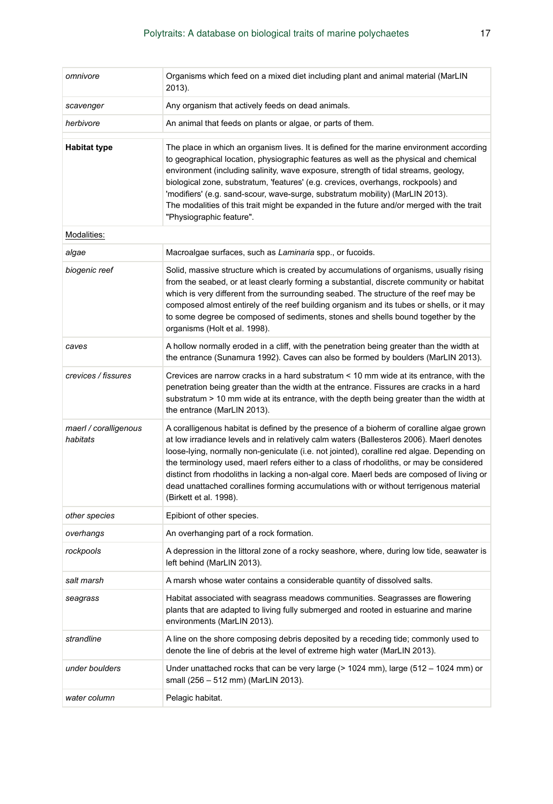| omnivore                          | Organisms which feed on a mixed diet including plant and animal material (MarLIN<br>2013).                                                                                                                                                                                                                                                                                                                                                                                                                                                                                                      |
|-----------------------------------|-------------------------------------------------------------------------------------------------------------------------------------------------------------------------------------------------------------------------------------------------------------------------------------------------------------------------------------------------------------------------------------------------------------------------------------------------------------------------------------------------------------------------------------------------------------------------------------------------|
| scavenger                         | Any organism that actively feeds on dead animals.                                                                                                                                                                                                                                                                                                                                                                                                                                                                                                                                               |
| herbivore                         | An animal that feeds on plants or algae, or parts of them.                                                                                                                                                                                                                                                                                                                                                                                                                                                                                                                                      |
| <b>Habitat type</b>               | The place in which an organism lives. It is defined for the marine environment according<br>to geographical location, physiographic features as well as the physical and chemical<br>environment (including salinity, wave exposure, strength of tidal streams, geology,<br>biological zone, substratum, 'features' (e.g. crevices, overhangs, rockpools) and<br>'modifiers' (e.g. sand-scour, wave-surge, substratum mobility) (MarLIN 2013).<br>The modalities of this trait might be expanded in the future and/or merged with the trait<br>"Physiographic feature".                         |
| Modalities:                       |                                                                                                                                                                                                                                                                                                                                                                                                                                                                                                                                                                                                 |
| algae                             | Macroalgae surfaces, such as Laminaria spp., or fucoids.                                                                                                                                                                                                                                                                                                                                                                                                                                                                                                                                        |
| biogenic reef                     | Solid, massive structure which is created by accumulations of organisms, usually rising<br>from the seabed, or at least clearly forming a substantial, discrete community or habitat<br>which is very different from the surrounding seabed. The structure of the reef may be<br>composed almost entirely of the reef building organism and its tubes or shells, or it may<br>to some degree be composed of sediments, stones and shells bound together by the<br>organisms (Holt et al. 1998).                                                                                                 |
| caves                             | A hollow normally eroded in a cliff, with the penetration being greater than the width at<br>the entrance (Sunamura 1992). Caves can also be formed by boulders (MarLIN 2013).                                                                                                                                                                                                                                                                                                                                                                                                                  |
| crevices / fissures               | Crevices are narrow cracks in a hard substratum < 10 mm wide at its entrance, with the<br>penetration being greater than the width at the entrance. Fissures are cracks in a hard<br>substratum > 10 mm wide at its entrance, with the depth being greater than the width at<br>the entrance (MarLIN 2013).                                                                                                                                                                                                                                                                                     |
| maerl / coralligenous<br>habitats | A coralligenous habitat is defined by the presence of a bioherm of coralline algae grown<br>at low irradiance levels and in relatively calm waters (Ballesteros 2006). Maerl denotes<br>loose-lying, normally non-geniculate (i.e. not jointed), coralline red algae. Depending on<br>the terminology used, maerl refers either to a class of rhodoliths, or may be considered<br>distinct from rhodoliths in lacking a non-algal core. Maerl beds are composed of living or<br>dead unattached corallines forming accumulations with or without terrigenous material<br>(Birkett et al. 1998). |
| other species                     | Epibiont of other species.                                                                                                                                                                                                                                                                                                                                                                                                                                                                                                                                                                      |
| overhangs                         | An overhanging part of a rock formation.                                                                                                                                                                                                                                                                                                                                                                                                                                                                                                                                                        |
| rockpools                         | A depression in the littoral zone of a rocky seashore, where, during low tide, seawater is<br>left behind (MarLIN 2013).                                                                                                                                                                                                                                                                                                                                                                                                                                                                        |
| salt marsh                        | A marsh whose water contains a considerable quantity of dissolved salts.                                                                                                                                                                                                                                                                                                                                                                                                                                                                                                                        |
| seagrass                          | Habitat associated with seagrass meadows communities. Seagrasses are flowering<br>plants that are adapted to living fully submerged and rooted in estuarine and marine<br>environments (MarLIN 2013).                                                                                                                                                                                                                                                                                                                                                                                           |
| strandline                        | A line on the shore composing debris deposited by a receding tide; commonly used to<br>denote the line of debris at the level of extreme high water (MarLIN 2013).                                                                                                                                                                                                                                                                                                                                                                                                                              |
| under boulders                    | Under unattached rocks that can be very large $(> 1024$ mm), large $(512 - 1024$ mm) or<br>small (256 – 512 mm) (MarLIN 2013).                                                                                                                                                                                                                                                                                                                                                                                                                                                                  |
| water column                      | Pelagic habitat.                                                                                                                                                                                                                                                                                                                                                                                                                                                                                                                                                                                |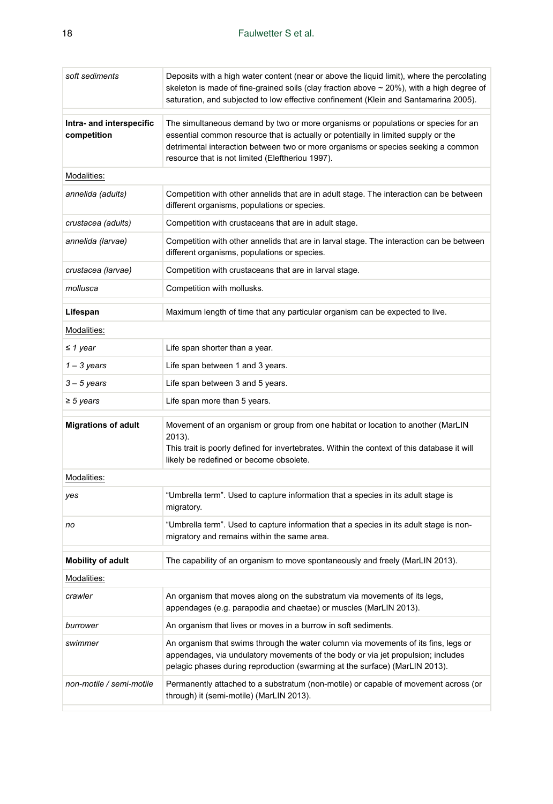| soft sediments                          | Deposits with a high water content (near or above the liquid limit), where the percolating<br>skeleton is made of fine-grained soils (clay fraction above $\sim$ 20%), with a high degree of<br>saturation, and subjected to low effective confinement (Klein and Santamarina 2005).                             |
|-----------------------------------------|------------------------------------------------------------------------------------------------------------------------------------------------------------------------------------------------------------------------------------------------------------------------------------------------------------------|
| Intra- and interspecific<br>competition | The simultaneous demand by two or more organisms or populations or species for an<br>essential common resource that is actually or potentially in limited supply or the<br>detrimental interaction between two or more organisms or species seeking a common<br>resource that is not limited (Eleftheriou 1997). |
| Modalities:                             |                                                                                                                                                                                                                                                                                                                  |
| annelida (adults)                       | Competition with other annelids that are in adult stage. The interaction can be between<br>different organisms, populations or species.                                                                                                                                                                          |
| crustacea (adults)                      | Competition with crustaceans that are in adult stage.                                                                                                                                                                                                                                                            |
| annelida (larvae)                       | Competition with other annelids that are in larval stage. The interaction can be between<br>different organisms, populations or species.                                                                                                                                                                         |
| crustacea (larvae)                      | Competition with crustaceans that are in larval stage.                                                                                                                                                                                                                                                           |
| mollusca                                | Competition with mollusks.                                                                                                                                                                                                                                                                                       |
| Lifespan                                | Maximum length of time that any particular organism can be expected to live.                                                                                                                                                                                                                                     |
| Modalities:                             |                                                                                                                                                                                                                                                                                                                  |
| $\leq$ 1 year                           | Life span shorter than a year.                                                                                                                                                                                                                                                                                   |
| $1 - 3$ years                           | Life span between 1 and 3 years.                                                                                                                                                                                                                                                                                 |
| $3 - 5$ years                           | Life span between 3 and 5 years.                                                                                                                                                                                                                                                                                 |
| $\geq$ 5 years                          | Life span more than 5 years.                                                                                                                                                                                                                                                                                     |
| <b>Migrations of adult</b>              | Movement of an organism or group from one habitat or location to another (MarLIN<br>2013).<br>This trait is poorly defined for invertebrates. Within the context of this database it will<br>likely be redefined or become obsolete.                                                                             |
| Modalities:                             |                                                                                                                                                                                                                                                                                                                  |
| yes                                     | "Umbrella term". Used to capture information that a species in its adult stage is<br>migratory.                                                                                                                                                                                                                  |
| no                                      | "Umbrella term". Used to capture information that a species in its adult stage is non-<br>migratory and remains within the same area.                                                                                                                                                                            |
| <b>Mobility of adult</b>                | The capability of an organism to move spontaneously and freely (MarLIN 2013).                                                                                                                                                                                                                                    |
| Modalities:                             |                                                                                                                                                                                                                                                                                                                  |
| crawler                                 | An organism that moves along on the substratum via movements of its legs,<br>appendages (e.g. parapodia and chaetae) or muscles (MarLIN 2013).                                                                                                                                                                   |
| burrower                                | An organism that lives or moves in a burrow in soft sediments.                                                                                                                                                                                                                                                   |
| swimmer                                 | An organism that swims through the water column via movements of its fins, legs or<br>appendages, via undulatory movements of the body or via jet propulsion; includes<br>pelagic phases during reproduction (swarming at the surface) (MarLIN 2013).                                                            |
| non-motile / semi-motile                | Permanently attached to a substratum (non-motile) or capable of movement across (or<br>through) it (semi-motile) (MarLIN 2013).                                                                                                                                                                                  |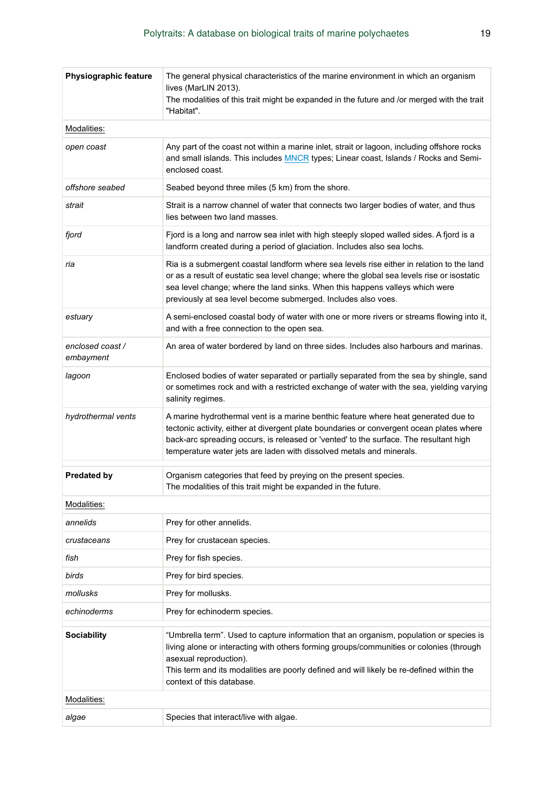| <b>Physiographic feature</b> | The general physical characteristics of the marine environment in which an organism<br>lives (MarLIN 2013).<br>The modalities of this trait might be expanded in the future and /or merged with the trait<br>"Habitat".                                                                                                                         |
|------------------------------|-------------------------------------------------------------------------------------------------------------------------------------------------------------------------------------------------------------------------------------------------------------------------------------------------------------------------------------------------|
| Modalities:                  |                                                                                                                                                                                                                                                                                                                                                 |
| open coast                   | Any part of the coast not within a marine inlet, strait or lagoon, including offshore rocks<br>and small islands. This includes <b>MNCR</b> types; Linear coast, Islands / Rocks and Semi-<br>enclosed coast.                                                                                                                                   |
| offshore seabed              | Seabed beyond three miles (5 km) from the shore.                                                                                                                                                                                                                                                                                                |
| strait                       | Strait is a narrow channel of water that connects two larger bodies of water, and thus<br>lies between two land masses.                                                                                                                                                                                                                         |
| fjord                        | Fjord is a long and narrow sea inlet with high steeply sloped walled sides. A fjord is a<br>landform created during a period of glaciation. Includes also sea lochs.                                                                                                                                                                            |
| ria                          | Ria is a submergent coastal landform where sea levels rise either in relation to the land<br>or as a result of eustatic sea level change; where the global sea levels rise or isostatic<br>sea level change; where the land sinks. When this happens valleys which were<br>previously at sea level become submerged. Includes also voes.        |
| estuary                      | A semi-enclosed coastal body of water with one or more rivers or streams flowing into it,<br>and with a free connection to the open sea.                                                                                                                                                                                                        |
| enclosed coast/<br>embayment | An area of water bordered by land on three sides. Includes also harbours and marinas.                                                                                                                                                                                                                                                           |
| lagoon                       | Enclosed bodies of water separated or partially separated from the sea by shingle, sand<br>or sometimes rock and with a restricted exchange of water with the sea, yielding varying<br>salinity regimes.                                                                                                                                        |
| hydrothermal vents           | A marine hydrothermal vent is a marine benthic feature where heat generated due to<br>tectonic activity, either at divergent plate boundaries or convergent ocean plates where<br>back-arc spreading occurs, is released or 'vented' to the surface. The resultant high<br>temperature water jets are laden with dissolved metals and minerals. |
| <b>Predated by</b>           | Organism categories that feed by preying on the present species.<br>The modalities of this trait might be expanded in the future.                                                                                                                                                                                                               |
| Modalities:                  |                                                                                                                                                                                                                                                                                                                                                 |
| annelids                     | Prey for other annelids.                                                                                                                                                                                                                                                                                                                        |
| crustaceans                  | Prey for crustacean species.                                                                                                                                                                                                                                                                                                                    |
| fish                         | Prey for fish species.                                                                                                                                                                                                                                                                                                                          |
| birds                        | Prey for bird species.                                                                                                                                                                                                                                                                                                                          |
| mollusks                     | Prey for mollusks.                                                                                                                                                                                                                                                                                                                              |
| echinoderms                  | Prey for echinoderm species.                                                                                                                                                                                                                                                                                                                    |
| <b>Sociability</b>           | "Umbrella term". Used to capture information that an organism, population or species is<br>living alone or interacting with others forming groups/communities or colonies (through<br>asexual reproduction).<br>This term and its modalities are poorly defined and will likely be re-defined within the<br>context of this database.           |
| Modalities:                  |                                                                                                                                                                                                                                                                                                                                                 |
| algae                        | Species that interact/live with algae.                                                                                                                                                                                                                                                                                                          |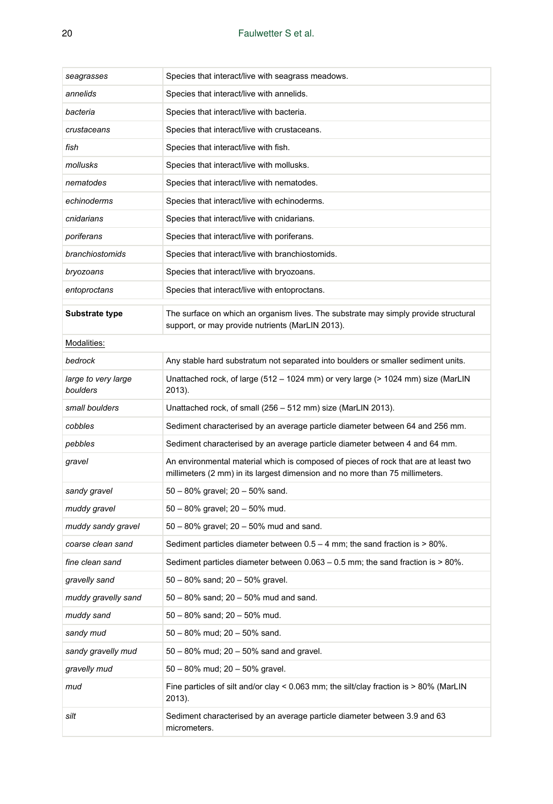| seagrasses                      | Species that interact/live with seagrass meadows.                                                                                                                   |  |  |  |  |  |
|---------------------------------|---------------------------------------------------------------------------------------------------------------------------------------------------------------------|--|--|--|--|--|
| annelids                        | Species that interact/live with annelids.                                                                                                                           |  |  |  |  |  |
| bacteria                        | Species that interact/live with bacteria.                                                                                                                           |  |  |  |  |  |
| crustaceans                     | Species that interact/live with crustaceans.                                                                                                                        |  |  |  |  |  |
| fish                            | Species that interact/live with fish.                                                                                                                               |  |  |  |  |  |
| mollusks                        | Species that interact/live with mollusks.                                                                                                                           |  |  |  |  |  |
| nematodes                       | Species that interact/live with nematodes.                                                                                                                          |  |  |  |  |  |
| echinoderms                     | Species that interact/live with echinoderms.                                                                                                                        |  |  |  |  |  |
| cnidarians                      | Species that interact/live with cnidarians.                                                                                                                         |  |  |  |  |  |
| poriferans                      | Species that interact/live with poriferans.                                                                                                                         |  |  |  |  |  |
| branchiostomids                 | Species that interact/live with branchiostomids.                                                                                                                    |  |  |  |  |  |
| bryozoans                       | Species that interact/live with bryozoans.                                                                                                                          |  |  |  |  |  |
| entoproctans                    | Species that interact/live with entoproctans.                                                                                                                       |  |  |  |  |  |
| Substrate type                  | The surface on which an organism lives. The substrate may simply provide structural<br>support, or may provide nutrients (MarLIN 2013).                             |  |  |  |  |  |
| Modalities:                     |                                                                                                                                                                     |  |  |  |  |  |
| bedrock                         | Any stable hard substratum not separated into boulders or smaller sediment units.                                                                                   |  |  |  |  |  |
| large to very large<br>boulders | Unattached rock, of large (512 – 1024 mm) or very large (> 1024 mm) size (MarLIN<br>2013).                                                                          |  |  |  |  |  |
| small boulders                  | Unattached rock, of small (256 – 512 mm) size (MarLIN 2013).                                                                                                        |  |  |  |  |  |
| cobbles                         | Sediment characterised by an average particle diameter between 64 and 256 mm.                                                                                       |  |  |  |  |  |
| pebbles                         | Sediment characterised by an average particle diameter between 4 and 64 mm.                                                                                         |  |  |  |  |  |
| gravel                          | An environmental material which is composed of pieces of rock that are at least two<br>millimeters (2 mm) in its largest dimension and no more than 75 millimeters. |  |  |  |  |  |
| sandy gravel                    | $50 - 80\%$ gravel; $20 - 50\%$ sand.                                                                                                                               |  |  |  |  |  |
| muddy gravel                    | 50 - 80% gravel; 20 - 50% mud.                                                                                                                                      |  |  |  |  |  |
| muddy sandy gravel              | 50 - 80% gravel; 20 - 50% mud and sand.                                                                                                                             |  |  |  |  |  |
| coarse clean sand               | Sediment particles diameter between $0.5 - 4$ mm; the sand fraction is $> 80\%$ .                                                                                   |  |  |  |  |  |
| fine clean sand                 | Sediment particles diameter between $0.063 - 0.5$ mm; the sand fraction is $> 80\%$ .                                                                               |  |  |  |  |  |
| gravelly sand                   | $50 - 80\%$ sand; $20 - 50\%$ gravel.                                                                                                                               |  |  |  |  |  |
| muddy gravelly sand             | 50 - 80% sand; 20 - 50% mud and sand.                                                                                                                               |  |  |  |  |  |
| muddy sand                      | 50 - 80% sand; 20 - 50% mud.                                                                                                                                        |  |  |  |  |  |
| sandy mud                       | 50 - 80% mud; 20 - 50% sand.                                                                                                                                        |  |  |  |  |  |
| sandy gravelly mud              | 50 - 80% mud; 20 - 50% sand and gravel.                                                                                                                             |  |  |  |  |  |
| gravelly mud                    | 50 - 80% mud; 20 - 50% gravel.                                                                                                                                      |  |  |  |  |  |
| mud                             | Fine particles of silt and/or clay < $0.063$ mm; the silt/clay fraction is > $80\%$ (MarLIN<br>2013).                                                               |  |  |  |  |  |
| silt                            | Sediment characterised by an average particle diameter between 3.9 and 63<br>micrometers.                                                                           |  |  |  |  |  |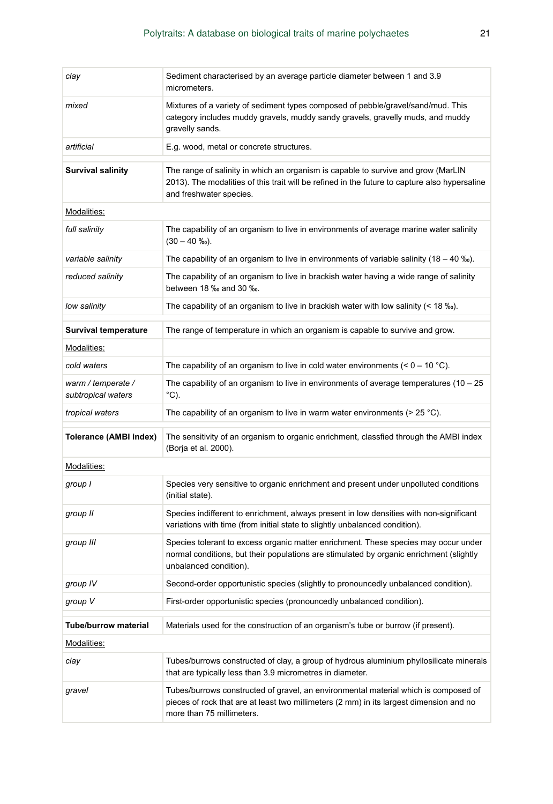| clay                                     | Sediment characterised by an average particle diameter between 1 and 3.9<br>micrometers.                                                                                                                      |  |  |  |  |  |  |
|------------------------------------------|---------------------------------------------------------------------------------------------------------------------------------------------------------------------------------------------------------------|--|--|--|--|--|--|
| mixed                                    | Mixtures of a variety of sediment types composed of pebble/gravel/sand/mud. This<br>category includes muddy gravels, muddy sandy gravels, gravelly muds, and muddy<br>gravelly sands.                         |  |  |  |  |  |  |
| artificial                               | E.g. wood, metal or concrete structures.                                                                                                                                                                      |  |  |  |  |  |  |
| <b>Survival salinity</b>                 | The range of salinity in which an organism is capable to survive and grow (MarLIN<br>2013). The modalities of this trait will be refined in the future to capture also hypersaline<br>and freshwater species. |  |  |  |  |  |  |
| Modalities:                              |                                                                                                                                                                                                               |  |  |  |  |  |  |
| full salinity                            | The capability of an organism to live in environments of average marine water salinity<br>$(30 - 40 \text{ %})$ .                                                                                             |  |  |  |  |  |  |
| variable salinity                        | The capability of an organism to live in environments of variable salinity (18 – 40 ‰).                                                                                                                       |  |  |  |  |  |  |
| reduced salinity                         | The capability of an organism to live in brackish water having a wide range of salinity<br>between 18 ‰ and 30 ‰.                                                                                             |  |  |  |  |  |  |
| low salinity                             | The capability of an organism to live in brackish water with low salinity $($ < 18 $\%$ ).                                                                                                                    |  |  |  |  |  |  |
| Survival temperature                     | The range of temperature in which an organism is capable to survive and grow.                                                                                                                                 |  |  |  |  |  |  |
| Modalities:                              |                                                                                                                                                                                                               |  |  |  |  |  |  |
| cold waters                              | The capability of an organism to live in cold water environments $(< 0 - 10 \degree C)$ .                                                                                                                     |  |  |  |  |  |  |
| warm / temperate /<br>subtropical waters | The capability of an organism to live in environments of average temperatures $(10 - 25)$<br>°C).                                                                                                             |  |  |  |  |  |  |
| tropical waters                          | The capability of an organism to live in warm water environments ( $>$ 25 °C).                                                                                                                                |  |  |  |  |  |  |
| Tolerance (AMBI index)                   | The sensitivity of an organism to organic enrichment, classfied through the AMBI index<br>(Borja et al. 2000).                                                                                                |  |  |  |  |  |  |
| Modalities:                              |                                                                                                                                                                                                               |  |  |  |  |  |  |
| group I                                  | Species very sensitive to organic enrichment and present under unpolluted conditions<br>(initial state).                                                                                                      |  |  |  |  |  |  |
| group II                                 | Species indifferent to enrichment, always present in low densities with non-significant<br>variations with time (from initial state to slightly unbalanced condition).                                        |  |  |  |  |  |  |
| group III                                | Species tolerant to excess organic matter enrichment. These species may occur under<br>normal conditions, but their populations are stimulated by organic enrichment (slightly<br>unbalanced condition).      |  |  |  |  |  |  |
| group IV                                 | Second-order opportunistic species (slightly to pronouncedly unbalanced condition).                                                                                                                           |  |  |  |  |  |  |
| group V                                  | First-order opportunistic species (pronouncedly unbalanced condition).                                                                                                                                        |  |  |  |  |  |  |
| <b>Tube/burrow material</b>              | Materials used for the construction of an organism's tube or burrow (if present).                                                                                                                             |  |  |  |  |  |  |
| Modalities:                              |                                                                                                                                                                                                               |  |  |  |  |  |  |
| clay                                     | Tubes/burrows constructed of clay, a group of hydrous aluminium phyllosilicate minerals<br>that are typically less than 3.9 micrometres in diameter.                                                          |  |  |  |  |  |  |
| gravel                                   | Tubes/burrows constructed of gravel, an environmental material which is composed of<br>pieces of rock that are at least two millimeters (2 mm) in its largest dimension and no<br>more than 75 millimeters.   |  |  |  |  |  |  |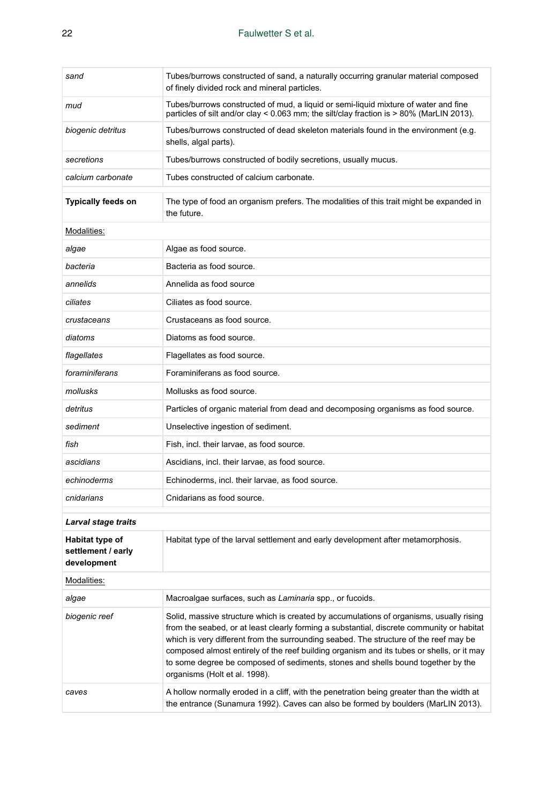| sand                                                 | Tubes/burrows constructed of sand, a naturally occurring granular material composed<br>of finely divided rock and mineral particles.                                                                                                                                                                                                                                                                                                                                                            |  |  |  |  |
|------------------------------------------------------|-------------------------------------------------------------------------------------------------------------------------------------------------------------------------------------------------------------------------------------------------------------------------------------------------------------------------------------------------------------------------------------------------------------------------------------------------------------------------------------------------|--|--|--|--|
| mud                                                  | Tubes/burrows constructed of mud, a liquid or semi-liquid mixture of water and fine<br>particles of silt and/or clay < 0.063 mm; the silt/clay fraction is > 80% (MarLIN 2013).                                                                                                                                                                                                                                                                                                                 |  |  |  |  |
| biogenic detritus                                    | Tubes/burrows constructed of dead skeleton materials found in the environment (e.g.<br>shells, algal parts).                                                                                                                                                                                                                                                                                                                                                                                    |  |  |  |  |
| secretions                                           | Tubes/burrows constructed of bodily secretions, usually mucus.                                                                                                                                                                                                                                                                                                                                                                                                                                  |  |  |  |  |
| calcium carbonate                                    | Tubes constructed of calcium carbonate.                                                                                                                                                                                                                                                                                                                                                                                                                                                         |  |  |  |  |
| Typically feeds on                                   | The type of food an organism prefers. The modalities of this trait might be expanded in<br>the future.                                                                                                                                                                                                                                                                                                                                                                                          |  |  |  |  |
| Modalities:                                          |                                                                                                                                                                                                                                                                                                                                                                                                                                                                                                 |  |  |  |  |
| algae                                                | Algae as food source.                                                                                                                                                                                                                                                                                                                                                                                                                                                                           |  |  |  |  |
| bacteria                                             | Bacteria as food source.                                                                                                                                                                                                                                                                                                                                                                                                                                                                        |  |  |  |  |
| annelids                                             | Annelida as food source                                                                                                                                                                                                                                                                                                                                                                                                                                                                         |  |  |  |  |
| ciliates                                             | Ciliates as food source.                                                                                                                                                                                                                                                                                                                                                                                                                                                                        |  |  |  |  |
| crustaceans                                          | Crustaceans as food source.                                                                                                                                                                                                                                                                                                                                                                                                                                                                     |  |  |  |  |
| diatoms                                              | Diatoms as food source.                                                                                                                                                                                                                                                                                                                                                                                                                                                                         |  |  |  |  |
| flagellates                                          | Flagellates as food source.                                                                                                                                                                                                                                                                                                                                                                                                                                                                     |  |  |  |  |
| foraminiferans                                       | Foraminiferans as food source.                                                                                                                                                                                                                                                                                                                                                                                                                                                                  |  |  |  |  |
| mollusks                                             | Mollusks as food source.                                                                                                                                                                                                                                                                                                                                                                                                                                                                        |  |  |  |  |
| detritus                                             | Particles of organic material from dead and decomposing organisms as food source.                                                                                                                                                                                                                                                                                                                                                                                                               |  |  |  |  |
| sediment                                             | Unselective ingestion of sediment.                                                                                                                                                                                                                                                                                                                                                                                                                                                              |  |  |  |  |
| fish                                                 | Fish, incl. their larvae, as food source.                                                                                                                                                                                                                                                                                                                                                                                                                                                       |  |  |  |  |
| ascidians                                            | Ascidians, incl. their larvae, as food source.                                                                                                                                                                                                                                                                                                                                                                                                                                                  |  |  |  |  |
| echinoderms                                          | Echinoderms, incl. their larvae, as food source.                                                                                                                                                                                                                                                                                                                                                                                                                                                |  |  |  |  |
| cnidarians                                           | Cnidarians as food source.                                                                                                                                                                                                                                                                                                                                                                                                                                                                      |  |  |  |  |
| Larval stage traits                                  |                                                                                                                                                                                                                                                                                                                                                                                                                                                                                                 |  |  |  |  |
| Habitat type of<br>settlement / early<br>development | Habitat type of the larval settlement and early development after metamorphosis.                                                                                                                                                                                                                                                                                                                                                                                                                |  |  |  |  |
| Modalities:                                          |                                                                                                                                                                                                                                                                                                                                                                                                                                                                                                 |  |  |  |  |
| algae                                                | Macroalgae surfaces, such as Laminaria spp., or fucoids.                                                                                                                                                                                                                                                                                                                                                                                                                                        |  |  |  |  |
| biogenic reef                                        | Solid, massive structure which is created by accumulations of organisms, usually rising<br>from the seabed, or at least clearly forming a substantial, discrete community or habitat<br>which is very different from the surrounding seabed. The structure of the reef may be<br>composed almost entirely of the reef building organism and its tubes or shells, or it may<br>to some degree be composed of sediments, stones and shells bound together by the<br>organisms (Holt et al. 1998). |  |  |  |  |
| caves                                                | A hollow normally eroded in a cliff, with the penetration being greater than the width at<br>the entrance (Sunamura 1992). Caves can also be formed by boulders (MarLIN 2013).                                                                                                                                                                                                                                                                                                                  |  |  |  |  |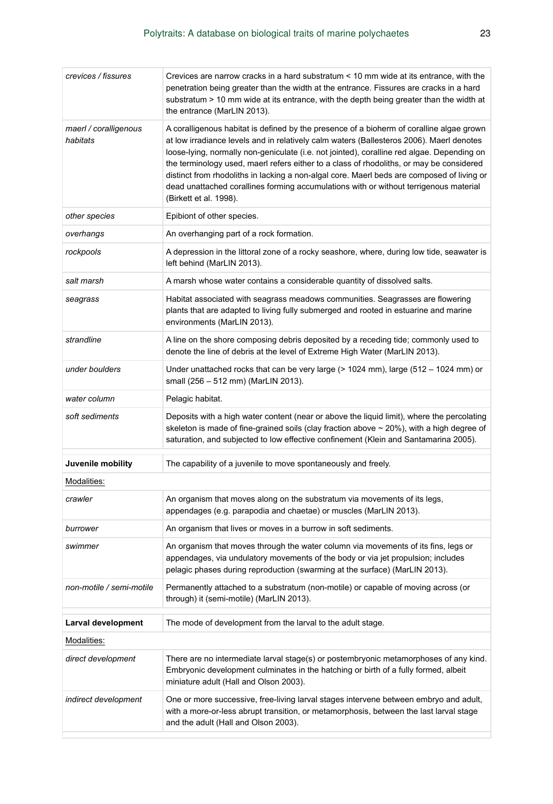| crevices / fissures               | Crevices are narrow cracks in a hard substratum < 10 mm wide at its entrance, with the<br>penetration being greater than the width at the entrance. Fissures are cracks in a hard<br>substratum > 10 mm wide at its entrance, with the depth being greater than the width at<br>the entrance (MarLIN 2013).                                                                                                                                                                                                                                                                                     |  |  |  |  |  |
|-----------------------------------|-------------------------------------------------------------------------------------------------------------------------------------------------------------------------------------------------------------------------------------------------------------------------------------------------------------------------------------------------------------------------------------------------------------------------------------------------------------------------------------------------------------------------------------------------------------------------------------------------|--|--|--|--|--|
| maerl / coralligenous<br>habitats | A coralligenous habitat is defined by the presence of a bioherm of coralline algae grown<br>at low irradiance levels and in relatively calm waters (Ballesteros 2006). Maerl denotes<br>loose-lying, normally non-geniculate (i.e. not jointed), coralline red algae. Depending on<br>the terminology used, maerl refers either to a class of rhodoliths, or may be considered<br>distinct from rhodoliths in lacking a non-algal core. Maerl beds are composed of living or<br>dead unattached corallines forming accumulations with or without terrigenous material<br>(Birkett et al. 1998). |  |  |  |  |  |
| other species                     | Epibiont of other species.                                                                                                                                                                                                                                                                                                                                                                                                                                                                                                                                                                      |  |  |  |  |  |
| overhangs                         | An overhanging part of a rock formation.                                                                                                                                                                                                                                                                                                                                                                                                                                                                                                                                                        |  |  |  |  |  |
| rockpools                         | A depression in the littoral zone of a rocky seashore, where, during low tide, seawater is<br>left behind (MarLIN 2013).                                                                                                                                                                                                                                                                                                                                                                                                                                                                        |  |  |  |  |  |
| salt marsh                        | A marsh whose water contains a considerable quantity of dissolved salts.                                                                                                                                                                                                                                                                                                                                                                                                                                                                                                                        |  |  |  |  |  |
| seagrass                          | Habitat associated with seagrass meadows communities. Seagrasses are flowering<br>plants that are adapted to living fully submerged and rooted in estuarine and marine<br>environments (MarLIN 2013).                                                                                                                                                                                                                                                                                                                                                                                           |  |  |  |  |  |
| strandline                        | A line on the shore composing debris deposited by a receding tide; commonly used to<br>denote the line of debris at the level of Extreme High Water (MarLIN 2013).                                                                                                                                                                                                                                                                                                                                                                                                                              |  |  |  |  |  |
| under boulders                    | Under unattached rocks that can be very large (> 1024 mm), large (512 – 1024 mm) or<br>small (256 - 512 mm) (MarLIN 2013).                                                                                                                                                                                                                                                                                                                                                                                                                                                                      |  |  |  |  |  |
| water column                      | Pelagic habitat.                                                                                                                                                                                                                                                                                                                                                                                                                                                                                                                                                                                |  |  |  |  |  |
| soft sediments                    | Deposits with a high water content (near or above the liquid limit), where the percolating<br>skeleton is made of fine-grained soils (clay fraction above $\sim$ 20%), with a high degree of<br>saturation, and subjected to low effective confinement (Klein and Santamarina 2005).                                                                                                                                                                                                                                                                                                            |  |  |  |  |  |
| Juvenile mobility                 | The capability of a juvenile to move spontaneously and freely.                                                                                                                                                                                                                                                                                                                                                                                                                                                                                                                                  |  |  |  |  |  |
| Modalities:                       |                                                                                                                                                                                                                                                                                                                                                                                                                                                                                                                                                                                                 |  |  |  |  |  |
| crawler                           | An organism that moves along on the substratum via movements of its legs,<br>appendages (e.g. parapodia and chaetae) or muscles (MarLIN 2013).                                                                                                                                                                                                                                                                                                                                                                                                                                                  |  |  |  |  |  |
| burrower                          | An organism that lives or moves in a burrow in soft sediments.                                                                                                                                                                                                                                                                                                                                                                                                                                                                                                                                  |  |  |  |  |  |
| swimmer                           | An organism that moves through the water column via movements of its fins, legs or<br>appendages, via undulatory movements of the body or via jet propulsion; includes<br>pelagic phases during reproduction (swarming at the surface) (MarLIN 2013).                                                                                                                                                                                                                                                                                                                                           |  |  |  |  |  |
| non-motile / semi-motile          | Permanently attached to a substratum (non-motile) or capable of moving across (or<br>through) it (semi-motile) (MarLIN 2013).                                                                                                                                                                                                                                                                                                                                                                                                                                                                   |  |  |  |  |  |
| Larval development                | The mode of development from the larval to the adult stage.                                                                                                                                                                                                                                                                                                                                                                                                                                                                                                                                     |  |  |  |  |  |
| Modalities:                       |                                                                                                                                                                                                                                                                                                                                                                                                                                                                                                                                                                                                 |  |  |  |  |  |
| direct development                | There are no intermediate larval stage(s) or postembryonic metamorphoses of any kind.<br>Embryonic development culminates in the hatching or birth of a fully formed, albeit<br>miniature adult (Hall and Olson 2003).                                                                                                                                                                                                                                                                                                                                                                          |  |  |  |  |  |
| indirect development              | One or more successive, free-living larval stages intervene between embryo and adult,<br>with a more-or-less abrupt transition, or metamorphosis, between the last larval stage<br>and the adult (Hall and Olson 2003).                                                                                                                                                                                                                                                                                                                                                                         |  |  |  |  |  |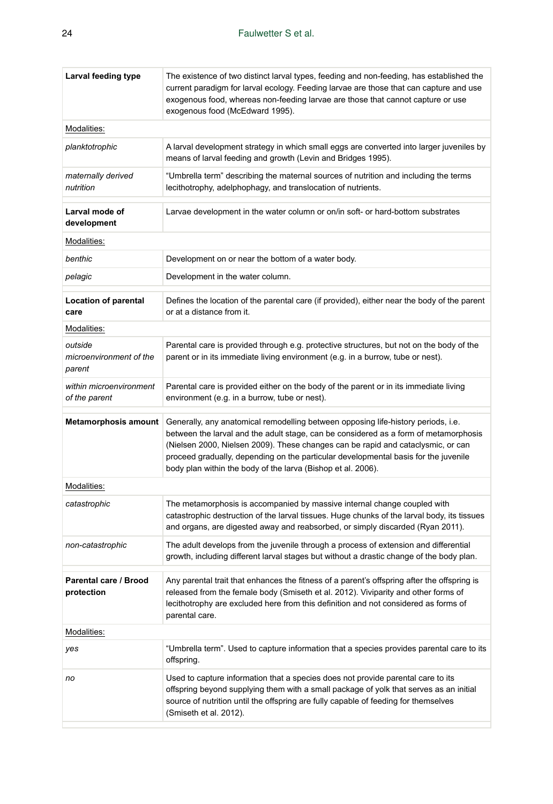| Larval feeding type                          | The existence of two distinct larval types, feeding and non-feeding, has established the<br>current paradigm for larval ecology. Feeding larvae are those that can capture and use<br>exogenous food, whereas non-feeding larvae are those that cannot capture or use<br>exogenous food (McEdward 1995).                                                                                                             |  |  |  |  |  |
|----------------------------------------------|----------------------------------------------------------------------------------------------------------------------------------------------------------------------------------------------------------------------------------------------------------------------------------------------------------------------------------------------------------------------------------------------------------------------|--|--|--|--|--|
| Modalities:                                  |                                                                                                                                                                                                                                                                                                                                                                                                                      |  |  |  |  |  |
| planktotrophic                               | A larval development strategy in which small eggs are converted into larger juveniles by<br>means of larval feeding and growth (Levin and Bridges 1995).                                                                                                                                                                                                                                                             |  |  |  |  |  |
| maternally derived<br>nutrition              | "Umbrella term" describing the maternal sources of nutrition and including the terms<br>lecithotrophy, adelphophagy, and translocation of nutrients.                                                                                                                                                                                                                                                                 |  |  |  |  |  |
| Larval mode of<br>development                | Larvae development in the water column or on/in soft- or hard-bottom substrates                                                                                                                                                                                                                                                                                                                                      |  |  |  |  |  |
| Modalities:                                  |                                                                                                                                                                                                                                                                                                                                                                                                                      |  |  |  |  |  |
| benthic                                      | Development on or near the bottom of a water body.                                                                                                                                                                                                                                                                                                                                                                   |  |  |  |  |  |
| pelagic                                      | Development in the water column.                                                                                                                                                                                                                                                                                                                                                                                     |  |  |  |  |  |
| Location of parental<br>care                 | Defines the location of the parental care (if provided), either near the body of the parent<br>or at a distance from it.                                                                                                                                                                                                                                                                                             |  |  |  |  |  |
| Modalities:                                  |                                                                                                                                                                                                                                                                                                                                                                                                                      |  |  |  |  |  |
| outside<br>microenvironment of the<br>parent | Parental care is provided through e.g. protective structures, but not on the body of the<br>parent or in its immediate living environment (e.g. in a burrow, tube or nest).                                                                                                                                                                                                                                          |  |  |  |  |  |
| within microenvironment<br>of the parent     | Parental care is provided either on the body of the parent or in its immediate living<br>environment (e.g. in a burrow, tube or nest).                                                                                                                                                                                                                                                                               |  |  |  |  |  |
| Metamorphosis amount                         | Generally, any anatomical remodelling between opposing life-history periods, i.e.<br>between the larval and the adult stage, can be considered as a form of metamorphosis<br>(Nielsen 2000, Nielsen 2009). These changes can be rapid and cataclysmic, or can<br>proceed gradually, depending on the particular developmental basis for the juvenile<br>body plan within the body of the larva (Bishop et al. 2006). |  |  |  |  |  |
| Modalities:                                  |                                                                                                                                                                                                                                                                                                                                                                                                                      |  |  |  |  |  |
| catastrophic                                 | The metamorphosis is accompanied by massive internal change coupled with<br>catastrophic destruction of the larval tissues. Huge chunks of the larval body, its tissues<br>and organs, are digested away and reabsorbed, or simply discarded (Ryan 2011).                                                                                                                                                            |  |  |  |  |  |
| non-catastrophic                             | The adult develops from the juvenile through a process of extension and differential<br>growth, including different larval stages but without a drastic change of the body plan.                                                                                                                                                                                                                                     |  |  |  |  |  |
| Parental care / Brood<br>protection          | Any parental trait that enhances the fitness of a parent's offspring after the offspring is<br>released from the female body (Smiseth et al. 2012). Viviparity and other forms of<br>lecithotrophy are excluded here from this definition and not considered as forms of<br>parental care.                                                                                                                           |  |  |  |  |  |
| Modalities:                                  |                                                                                                                                                                                                                                                                                                                                                                                                                      |  |  |  |  |  |
| yes                                          | "Umbrella term". Used to capture information that a species provides parental care to its<br>offspring.                                                                                                                                                                                                                                                                                                              |  |  |  |  |  |
| no                                           | Used to capture information that a species does not provide parental care to its<br>offspring beyond supplying them with a small package of yolk that serves as an initial<br>source of nutrition until the offspring are fully capable of feeding for themselves<br>(Smiseth et al. 2012).                                                                                                                          |  |  |  |  |  |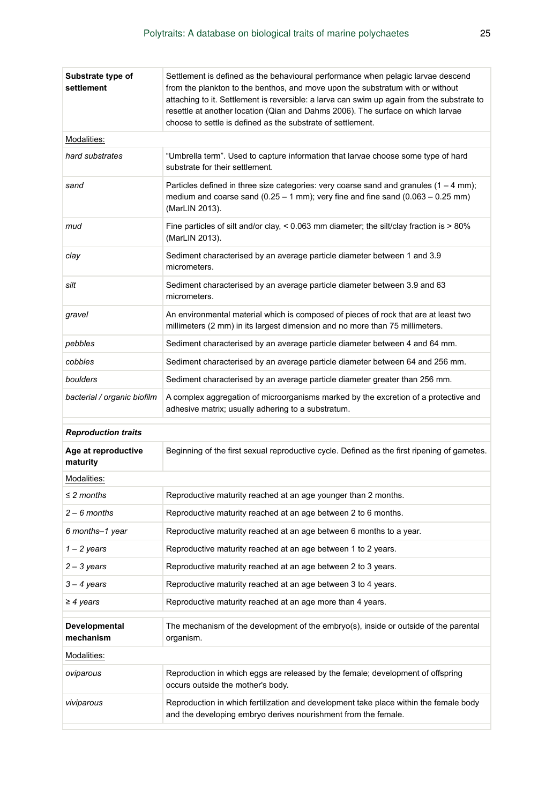| Substrate type of<br>settlement | Settlement is defined as the behavioural performance when pelagic larvae descend<br>from the plankton to the benthos, and move upon the substratum with or without<br>attaching to it. Settlement is reversible: a larva can swim up again from the substrate to<br>resettle at another location (Qian and Dahms 2006). The surface on which larvae<br>choose to settle is defined as the substrate of settlement. |  |  |  |  |  |
|---------------------------------|--------------------------------------------------------------------------------------------------------------------------------------------------------------------------------------------------------------------------------------------------------------------------------------------------------------------------------------------------------------------------------------------------------------------|--|--|--|--|--|
| Modalities:                     |                                                                                                                                                                                                                                                                                                                                                                                                                    |  |  |  |  |  |
| hard substrates                 | "Umbrella term". Used to capture information that larvae choose some type of hard<br>substrate for their settlement.                                                                                                                                                                                                                                                                                               |  |  |  |  |  |
| sand                            | Particles defined in three size categories: very coarse sand and granules $(1 - 4$ mm);<br>medium and coarse sand $(0.25 - 1 \text{ mm})$ ; very fine and fine sand $(0.063 - 0.25 \text{ mm})$<br>(MarLIN 2013).                                                                                                                                                                                                  |  |  |  |  |  |
| mud                             | Fine particles of silt and/or clay, $\lt 0.063$ mm diameter; the silt/clay fraction is $>80\%$<br>(MarLIN 2013).                                                                                                                                                                                                                                                                                                   |  |  |  |  |  |
| clay                            | Sediment characterised by an average particle diameter between 1 and 3.9<br>micrometers.                                                                                                                                                                                                                                                                                                                           |  |  |  |  |  |
| silt                            | Sediment characterised by an average particle diameter between 3.9 and 63<br>micrometers.                                                                                                                                                                                                                                                                                                                          |  |  |  |  |  |
| gravel                          | An environmental material which is composed of pieces of rock that are at least two<br>millimeters (2 mm) in its largest dimension and no more than 75 millimeters.                                                                                                                                                                                                                                                |  |  |  |  |  |
| pebbles                         | Sediment characterised by an average particle diameter between 4 and 64 mm.                                                                                                                                                                                                                                                                                                                                        |  |  |  |  |  |
| cobbles                         | Sediment characterised by an average particle diameter between 64 and 256 mm.                                                                                                                                                                                                                                                                                                                                      |  |  |  |  |  |
| boulders                        | Sediment characterised by an average particle diameter greater than 256 mm.                                                                                                                                                                                                                                                                                                                                        |  |  |  |  |  |
| bacterial / organic biofilm     | A complex aggregation of microorganisms marked by the excretion of a protective and<br>adhesive matrix; usually adhering to a substratum.                                                                                                                                                                                                                                                                          |  |  |  |  |  |
| <b>Reproduction traits</b>      |                                                                                                                                                                                                                                                                                                                                                                                                                    |  |  |  |  |  |
| Age at reproductive<br>maturity | Beginning of the first sexual reproductive cycle. Defined as the first ripening of gametes.                                                                                                                                                                                                                                                                                                                        |  |  |  |  |  |
| Modalities:                     |                                                                                                                                                                                                                                                                                                                                                                                                                    |  |  |  |  |  |
| $\leq$ 2 months                 | Reproductive maturity reached at an age younger than 2 months.                                                                                                                                                                                                                                                                                                                                                     |  |  |  |  |  |
| $2 - 6$ months                  | Reproductive maturity reached at an age between 2 to 6 months.                                                                                                                                                                                                                                                                                                                                                     |  |  |  |  |  |
| 6 months-1 year                 | Reproductive maturity reached at an age between 6 months to a year.                                                                                                                                                                                                                                                                                                                                                |  |  |  |  |  |
| $1 - 2$ years                   | Reproductive maturity reached at an age between 1 to 2 years.                                                                                                                                                                                                                                                                                                                                                      |  |  |  |  |  |
| $2 - 3$ years                   | Reproductive maturity reached at an age between 2 to 3 years.                                                                                                                                                                                                                                                                                                                                                      |  |  |  |  |  |
| $3 - 4$ years                   | Reproductive maturity reached at an age between 3 to 4 years.                                                                                                                                                                                                                                                                                                                                                      |  |  |  |  |  |
| $\geq$ 4 years                  | Reproductive maturity reached at an age more than 4 years.                                                                                                                                                                                                                                                                                                                                                         |  |  |  |  |  |
| Developmental<br>mechanism      | The mechanism of the development of the embryo(s), inside or outside of the parental<br>organism.                                                                                                                                                                                                                                                                                                                  |  |  |  |  |  |
| Modalities:                     |                                                                                                                                                                                                                                                                                                                                                                                                                    |  |  |  |  |  |
| oviparous                       | Reproduction in which eggs are released by the female; development of offspring<br>occurs outside the mother's body.                                                                                                                                                                                                                                                                                               |  |  |  |  |  |
| viviparous                      | Reproduction in which fertilization and development take place within the female body<br>and the developing embryo derives nourishment from the female.                                                                                                                                                                                                                                                            |  |  |  |  |  |
|                                 |                                                                                                                                                                                                                                                                                                                                                                                                                    |  |  |  |  |  |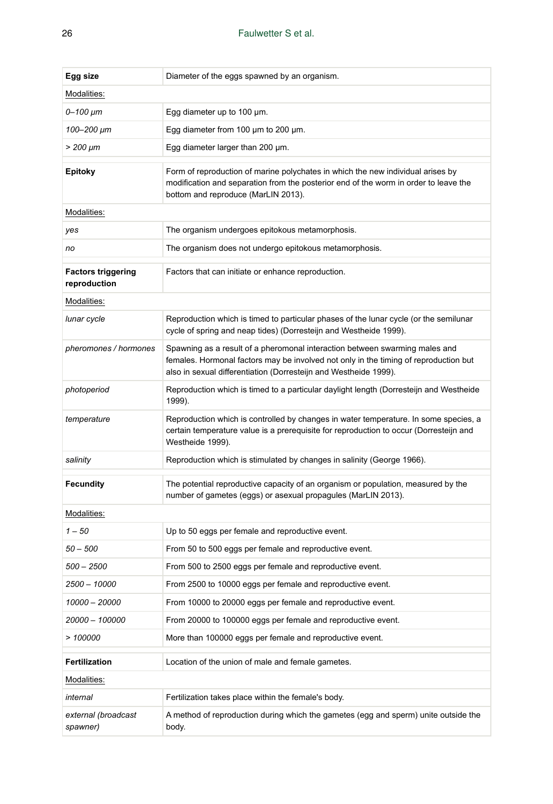| Egg size                                  | Diameter of the eggs spawned by an organism.                                                                                                                                                                                            |  |  |  |  |  |
|-------------------------------------------|-----------------------------------------------------------------------------------------------------------------------------------------------------------------------------------------------------------------------------------------|--|--|--|--|--|
| Modalities:                               |                                                                                                                                                                                                                                         |  |  |  |  |  |
| $0 - 100 \mu m$                           | Egg diameter up to 100 $\mu$ m.                                                                                                                                                                                                         |  |  |  |  |  |
| 100–200 µm                                | Egg diameter from 100 $\mu$ m to 200 $\mu$ m.                                                                                                                                                                                           |  |  |  |  |  |
| $> 200 \ \mu m$                           | Egg diameter larger than 200 µm.                                                                                                                                                                                                        |  |  |  |  |  |
| <b>Epitoky</b>                            | Form of reproduction of marine polychates in which the new individual arises by<br>modification and separation from the posterior end of the worm in order to leave the<br>bottom and reproduce (MarLIN 2013).                          |  |  |  |  |  |
| Modalities:                               |                                                                                                                                                                                                                                         |  |  |  |  |  |
| yes                                       | The organism undergoes epitokous metamorphosis.                                                                                                                                                                                         |  |  |  |  |  |
| no                                        | The organism does not undergo epitokous metamorphosis.                                                                                                                                                                                  |  |  |  |  |  |
| <b>Factors triggering</b><br>reproduction | Factors that can initiate or enhance reproduction.                                                                                                                                                                                      |  |  |  |  |  |
| Modalities:                               |                                                                                                                                                                                                                                         |  |  |  |  |  |
| lunar cycle                               | Reproduction which is timed to particular phases of the lunar cycle (or the semilunar<br>cycle of spring and neap tides) (Dorresteijn and Westheide 1999).                                                                              |  |  |  |  |  |
| pheromones / hormones                     | Spawning as a result of a pheromonal interaction between swarming males and<br>females. Hormonal factors may be involved not only in the timing of reproduction but<br>also in sexual differentiation (Dorresteijn and Westheide 1999). |  |  |  |  |  |
| photoperiod                               | Reproduction which is timed to a particular daylight length (Dorresteijn and Westheide<br>1999).                                                                                                                                        |  |  |  |  |  |
| temperature                               | Reproduction which is controlled by changes in water temperature. In some species, a<br>certain temperature value is a prerequisite for reproduction to occur (Dorresteijn and<br>Westheide 1999).                                      |  |  |  |  |  |
| salinity                                  | Reproduction which is stimulated by changes in salinity (George 1966).                                                                                                                                                                  |  |  |  |  |  |
| <b>Fecundity</b>                          | The potential reproductive capacity of an organism or population, measured by the<br>number of gametes (eggs) or asexual propagules (MarLIN 2013).                                                                                      |  |  |  |  |  |
| Modalities:                               |                                                                                                                                                                                                                                         |  |  |  |  |  |
| $1 - 50$                                  | Up to 50 eggs per female and reproductive event.                                                                                                                                                                                        |  |  |  |  |  |
| $50 - 500$                                | From 50 to 500 eggs per female and reproductive event.                                                                                                                                                                                  |  |  |  |  |  |
| 500 – 2500                                | From 500 to 2500 eggs per female and reproductive event.                                                                                                                                                                                |  |  |  |  |  |
| 2500 - 10000                              | From 2500 to 10000 eggs per female and reproductive event.                                                                                                                                                                              |  |  |  |  |  |
| 10000 - 20000                             | From 10000 to 20000 eggs per female and reproductive event.                                                                                                                                                                             |  |  |  |  |  |
| 20000 - 100000                            | From 20000 to 100000 eggs per female and reproductive event.                                                                                                                                                                            |  |  |  |  |  |
| >100000                                   | More than 100000 eggs per female and reproductive event.                                                                                                                                                                                |  |  |  |  |  |
| <b>Fertilization</b>                      | Location of the union of male and female gametes.                                                                                                                                                                                       |  |  |  |  |  |
| Modalities:                               |                                                                                                                                                                                                                                         |  |  |  |  |  |
| internal                                  | Fertilization takes place within the female's body.                                                                                                                                                                                     |  |  |  |  |  |
| external (broadcast<br>spawner)           | A method of reproduction during which the gametes (egg and sperm) unite outside the<br>body.                                                                                                                                            |  |  |  |  |  |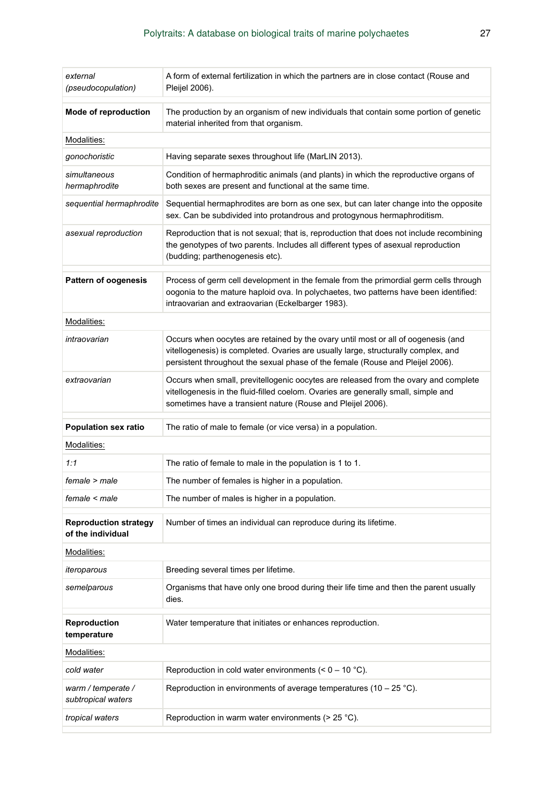| external<br>(pseudocopulation)                    | A form of external fertilization in which the partners are in close contact (Rouse and<br>Pleijel 2006).                                                                                                                                                  |  |  |  |  |  |
|---------------------------------------------------|-----------------------------------------------------------------------------------------------------------------------------------------------------------------------------------------------------------------------------------------------------------|--|--|--|--|--|
| Mode of reproduction                              | The production by an organism of new individuals that contain some portion of genetic<br>material inherited from that organism.                                                                                                                           |  |  |  |  |  |
| Modalities:                                       |                                                                                                                                                                                                                                                           |  |  |  |  |  |
| gonochoristic                                     | Having separate sexes throughout life (MarLIN 2013).                                                                                                                                                                                                      |  |  |  |  |  |
| simultaneous<br>hermaphrodite                     | Condition of hermaphroditic animals (and plants) in which the reproductive organs of<br>both sexes are present and functional at the same time.                                                                                                           |  |  |  |  |  |
| sequential hermaphrodite                          | Sequential hermaphrodites are born as one sex, but can later change into the opposite<br>sex. Can be subdivided into protandrous and protogynous hermaphroditism.                                                                                         |  |  |  |  |  |
| asexual reproduction                              | Reproduction that is not sexual; that is, reproduction that does not include recombining<br>the genotypes of two parents. Includes all different types of asexual reproduction<br>(budding; parthenogenesis etc).                                         |  |  |  |  |  |
| <b>Pattern of oogenesis</b>                       | Process of germ cell development in the female from the primordial germ cells through<br>oogonia to the mature haploid ova. In polychaetes, two patterns have been identified:<br>intraovarian and extraovarian (Eckelbarger 1983).                       |  |  |  |  |  |
| Modalities:                                       |                                                                                                                                                                                                                                                           |  |  |  |  |  |
| intraovarian                                      | Occurs when oocytes are retained by the ovary until most or all of oogenesis (and<br>vitellogenesis) is completed. Ovaries are usually large, structurally complex, and<br>persistent throughout the sexual phase of the female (Rouse and Pleijel 2006). |  |  |  |  |  |
| extraovarian                                      | Occurs when small, previtellogenic oocytes are released from the ovary and complete<br>vitellogenesis in the fluid-filled coelom. Ovaries are generally small, simple and<br>sometimes have a transient nature (Rouse and Pleijel 2006).                  |  |  |  |  |  |
| <b>Population sex ratio</b>                       | The ratio of male to female (or vice versa) in a population.                                                                                                                                                                                              |  |  |  |  |  |
| Modalities:                                       |                                                                                                                                                                                                                                                           |  |  |  |  |  |
| 1:1                                               | The ratio of female to male in the population is 1 to 1.                                                                                                                                                                                                  |  |  |  |  |  |
| female > male                                     | The number of females is higher in a population.                                                                                                                                                                                                          |  |  |  |  |  |
| female < male                                     | The number of males is higher in a population.                                                                                                                                                                                                            |  |  |  |  |  |
| <b>Reproduction strategy</b><br>of the individual | Number of times an individual can reproduce during its lifetime.                                                                                                                                                                                          |  |  |  |  |  |
| Modalities:                                       |                                                                                                                                                                                                                                                           |  |  |  |  |  |
| iteroparous                                       | Breeding several times per lifetime.                                                                                                                                                                                                                      |  |  |  |  |  |
| semelparous                                       | Organisms that have only one brood during their life time and then the parent usually<br>dies.                                                                                                                                                            |  |  |  |  |  |
| Reproduction<br>temperature                       | Water temperature that initiates or enhances reproduction.                                                                                                                                                                                                |  |  |  |  |  |
| Modalities:                                       |                                                                                                                                                                                                                                                           |  |  |  |  |  |
| cold water                                        | Reproduction in cold water environments $(< 0 - 10$ °C).                                                                                                                                                                                                  |  |  |  |  |  |
| warm / temperate /<br>subtropical waters          | Reproduction in environments of average temperatures (10 – 25 °C).                                                                                                                                                                                        |  |  |  |  |  |
| tropical waters                                   | Reproduction in warm water environments ( $>$ 25 °C).                                                                                                                                                                                                     |  |  |  |  |  |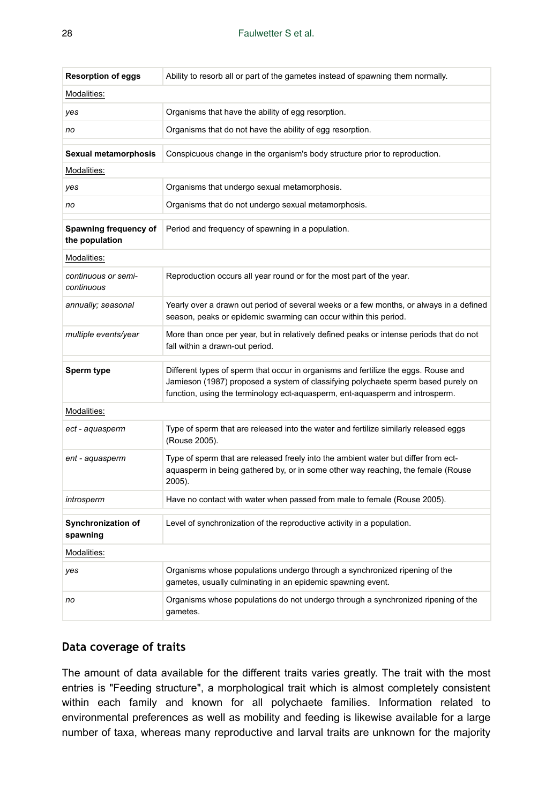| <b>Resorption of eggs</b>               | Ability to resorb all or part of the gametes instead of spawning them normally.                                                                                                                                                                         |  |  |  |  |  |  |
|-----------------------------------------|---------------------------------------------------------------------------------------------------------------------------------------------------------------------------------------------------------------------------------------------------------|--|--|--|--|--|--|
| Modalities:                             |                                                                                                                                                                                                                                                         |  |  |  |  |  |  |
| yes                                     | Organisms that have the ability of egg resorption.                                                                                                                                                                                                      |  |  |  |  |  |  |
| no                                      | Organisms that do not have the ability of egg resorption.                                                                                                                                                                                               |  |  |  |  |  |  |
| Sexual metamorphosis                    | Conspicuous change in the organism's body structure prior to reproduction.                                                                                                                                                                              |  |  |  |  |  |  |
| Modalities:                             |                                                                                                                                                                                                                                                         |  |  |  |  |  |  |
| yes                                     | Organisms that undergo sexual metamorphosis.                                                                                                                                                                                                            |  |  |  |  |  |  |
| no                                      | Organisms that do not undergo sexual metamorphosis.                                                                                                                                                                                                     |  |  |  |  |  |  |
| Spawning frequency of<br>the population | Period and frequency of spawning in a population.                                                                                                                                                                                                       |  |  |  |  |  |  |
| Modalities:                             |                                                                                                                                                                                                                                                         |  |  |  |  |  |  |
| continuous or semi-<br>continuous       | Reproduction occurs all year round or for the most part of the year.                                                                                                                                                                                    |  |  |  |  |  |  |
| annually; seasonal                      | Yearly over a drawn out period of several weeks or a few months, or always in a defined<br>season, peaks or epidemic swarming can occur within this period.                                                                                             |  |  |  |  |  |  |
| multiple events/year                    | More than once per year, but in relatively defined peaks or intense periods that do not<br>fall within a drawn-out period.                                                                                                                              |  |  |  |  |  |  |
| Sperm type                              | Different types of sperm that occur in organisms and fertilize the eggs. Rouse and<br>Jamieson (1987) proposed a system of classifying polychaete sperm based purely on<br>function, using the terminology ect-aquasperm, ent-aquasperm and introsperm. |  |  |  |  |  |  |
| Modalities:                             |                                                                                                                                                                                                                                                         |  |  |  |  |  |  |
| ect - aquasperm                         | Type of sperm that are released into the water and fertilize similarly released eggs<br>(Rouse 2005).                                                                                                                                                   |  |  |  |  |  |  |
| ent - aquasperm                         | Type of sperm that are released freely into the ambient water but differ from ect-<br>aquasperm in being gathered by, or in some other way reaching, the female (Rouse<br>2005).                                                                        |  |  |  |  |  |  |
| introsperm                              | Have no contact with water when passed from male to female (Rouse 2005).                                                                                                                                                                                |  |  |  |  |  |  |
| Synchronization of<br>spawning          | Level of synchronization of the reproductive activity in a population.                                                                                                                                                                                  |  |  |  |  |  |  |
| Modalities:                             |                                                                                                                                                                                                                                                         |  |  |  |  |  |  |
| yes                                     | Organisms whose populations undergo through a synchronized ripening of the<br>gametes, usually culminating in an epidemic spawning event.                                                                                                               |  |  |  |  |  |  |
| no                                      | Organisms whose populations do not undergo through a synchronized ripening of the<br>gametes.                                                                                                                                                           |  |  |  |  |  |  |

### **Data coverage of traits**

The amount of data available for the different traits varies greatly. The trait with the most entries is "Feeding structure", a morphological trait which is almost completely consistent within each family and known for all polychaete families. Information related to environmental preferences as well as mobility and feeding is likewise available for a large number of taxa, whereas many reproductive and larval traits are unknown for the majority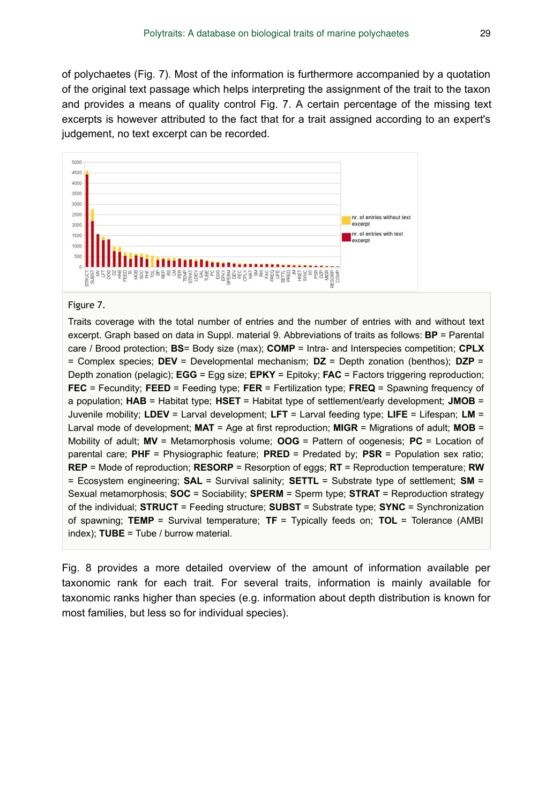of polychaetes (Fig. 7). Most of the information is furthermore accompanied by a quotation of the original text passage which helps interpreting the assignment of the trait to the taxon and provides a means of quality control Fig. 7. A certain percentage of the missing text excerpts is however attributed to the fact that for a trait assigned according to an expert's judgement, no text excerpt can be recorded.



#### Figure 7.

Traits coverage with the total number of entries and the number of entries with and without text excerpt. Graph based on data in Suppl. material 9. Abbreviations of traits as follows: **BP** = Parental care / Brood protection; **BS**= Body size (max); **COMP** = Intra- and Interspecies competition; **CPLX** = Complex species; **DEV** = Developmental mechanism; **DZ** = Depth zonation (benthos); **DZP** = Depth zonation (pelagic); **EGG** = Egg size; **EPKY** = Epitoky; **FAC** = Factors triggering reproduction; **FEC** = Fecundity; **FEED** = Feeding type; **FER** = Fertilization type; **FREQ** = Spawning frequency of a population; **HAB** = Habitat type; **HSET** = Habitat type of settlement/early development; **JMOB** = Juvenile mobility; **LDEV** = Larval development; **LFT** = Larval feeding type; **LIFE** = Lifespan; **LM** = Larval mode of development; **MAT** = Age at first reproduction; **MIGR** = Migrations of adult; **MOB** = Mobility of adult; **MV** = Metamorphosis volume; **OOG** = Pattern of oogenesis; **PC** = Location of parental care; **PHF** = Physiographic feature; **PRED** = Predated by; **PSR** = Population sex ratio; **REP** = Mode of reproduction; **RESORP** = Resorption of eggs; **RT** = Reproduction temperature; **RW** = Ecosystem engineering; **SAL** = Survival salinity; **SETTL** = Substrate type of settlement; **SM** = Sexual metamorphosis; **SOC** = Sociability; **SPERM** = Sperm type; **STRAT** = Reproduction strategy of the individual; **STRUCT** = Feeding structure; **SUBST** = Substrate type; **SYNC** = Synchronization of spawning; **TEMP** = Survival temperature; **TF** = Typically feeds on; **TOL** = Tolerance (AMBI index); **TUBE** = Tube / burrow material.

Fig. 8 provides a more detailed overview of the amount of information available per taxonomic rank for each trait. For several traits, information is mainly available for taxonomic ranks higher than species (e.g. information about depth distribution is known for most families, but less so for individual species).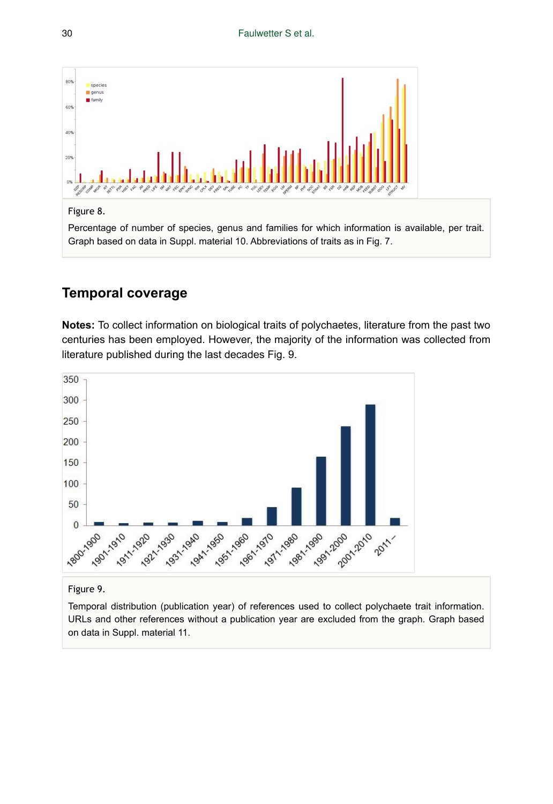

#### Figure 8.

Percentage of number of species, genus and families for which information is available, per trait. Graph based on data in Suppl. material 10. Abbreviations of traits as in Fig. 7.

# **Temporal coverage**

**Notes:** To collect information on biological traits of polychaetes, literature from the past two centuries has been employed. However, the majority of the information was collected from literature published during the last decades Fig. 9.



### Figure 9.

Temporal distribution (publication year) of references used to collect polychaete trait information. URLs and other references without a publication year are excluded from the graph. Graph based on data in Suppl. material 11.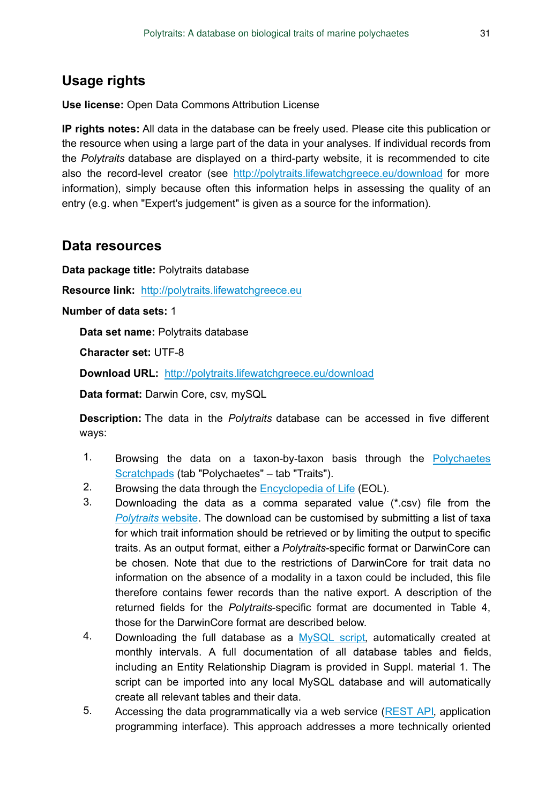# **Usage rights**

**Use license:** Open Data Commons Attribution License

**IP rights notes:** All data in the database can be freely used. Please cite this publication or the resource when using a large part of the data in your analyses. If individual records from the *Polytraits* database are displayed on a third-party website, it is recommended to cite also the record-level creator (see <http://polytraits.lifewatchgreece.eu/download> for more information), simply because often this information helps in assessing the quality of an entry (e.g. when "Expert's judgement" is given as a source for the information).

### **Data resources**

**Data package title:** Polytraits database

**Resource link:** <http://polytraits.lifewatchgreece.eu>

### **Number of data sets:** 1

**Data set name:** Polytraits database

**Character set:** UTF-8

**Download URL:** <http://polytraits.lifewatchgreece.eu/download>

**Data format:** Darwin Core, csv, mySQL

**Description:** The data in the *Polytraits* database can be accessed in five different ways:

- 1. Browsing the data on a taxon-by-taxon basis through the [Polychaetes](http://polychaetes.lifewatchgreece.eu) [Scratchpads](http://polychaetes.lifewatchgreece.eu) (tab "Polychaetes" – tab "Traits").
- 2. Browsing the data through the [Encyclopedia of Life](http://eol.org/collections/97431) (EOL).
- 3. Downloading the data as a comma separated value (\*.csv) file from the *[Polytraits](http://polytraits.lifewatchgreece.eu/download-list)* website. The download can be customised by submitting a list of taxa for which trait information should be retrieved or by limiting the output to specific traits. As an output format, either a *Polytraits*-specific format or DarwinCore can be chosen. Note that due to the restrictions of DarwinCore for trait data no information on the absence of a modality in a taxon could be included, this file therefore contains fewer records than the native export. A description of the returned fields for the *Polytraits*-specific format are documented in Table 4, those for the DarwinCore format are described below.
- 4. Downloading the full database as a [MySQL script,](http://polytraits.lifewatchgreece.eu/download-db) automatically created at monthly intervals. A full documentation of all database tables and fields, including an Entity Relationship Diagram is provided in Suppl. material 1. The script can be imported into any local MySQL database and will automatically create all relevant tables and their data.
- 5. Accessing the data programmatically via a web service ([REST API,](http://polytraits.lifewatchgreece.eu/download-api) application programming interface). This approach addresses a more technically oriented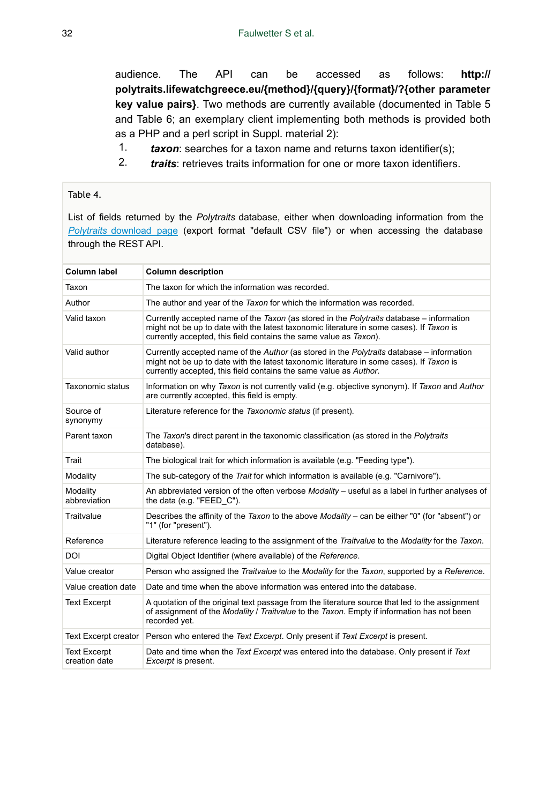audience. The API can be accessed as follows: **http:// polytraits.lifewatchgreece.eu/{method}/{query}/{format}/?{other parameter key value pairs}**. Two methods are currently available (documented in Table 5 and Table 6; an exemplary client implementing both methods is provided both as a PHP and a perl script in Suppl. material 2):

- 1. *taxon*: searches for a taxon name and returns taxon identifier(s);
- 2. *traits*: retrieves traits information for one or more taxon identifiers.

### Table 4.

List of fields returned by the *Polytraits* database, either when downloading information from the *[Polytraits](http://polytraits.lifewatchgreece.eu/download-list)* [download page](http://polytraits.lifewatchgreece.eu/download-list) (export format "default CSV file") or when accessing the database through the REST API.

| <b>Column label</b>                  | <b>Column description</b>                                                                                                                                                                                                                                  |
|--------------------------------------|------------------------------------------------------------------------------------------------------------------------------------------------------------------------------------------------------------------------------------------------------------|
| Taxon                                | The taxon for which the information was recorded.                                                                                                                                                                                                          |
| Author                               | The author and year of the Taxon for which the information was recorded.                                                                                                                                                                                   |
| Valid taxon                          | Currently accepted name of the Taxon (as stored in the Polytraits database – information<br>might not be up to date with the latest taxonomic literature in some cases). If Taxon is<br>currently accepted, this field contains the same value as Taxon).  |
| Valid author                         | Currently accepted name of the Author (as stored in the Polytraits database – information<br>might not be up to date with the latest taxonomic literature in some cases). If Taxon is<br>currently accepted, this field contains the same value as Author. |
| <b>Taxonomic status</b>              | Information on why Taxon is not currently valid (e.g. objective synonym). If Taxon and Author<br>are currently accepted, this field is empty.                                                                                                              |
| Source of<br>synonymy                | Literature reference for the Taxonomic status (if present).                                                                                                                                                                                                |
| Parent taxon                         | The Taxon's direct parent in the taxonomic classification (as stored in the Polytraits<br>database).                                                                                                                                                       |
| Trait                                | The biological trait for which information is available (e.g. "Feeding type").                                                                                                                                                                             |
| Modality                             | The sub-category of the Trait for which information is available (e.g. "Carnivore").                                                                                                                                                                       |
| Modality<br>abbreviation             | An abbreviated version of the often verbose Modality - useful as a label in further analyses of<br>the data (e.g. "FEED C").                                                                                                                               |
| Traitvalue                           | Describes the affinity of the Taxon to the above Modality - can be either "0" (for "absent") or<br>"1" (for "present").                                                                                                                                    |
| Reference                            | Literature reference leading to the assignment of the Traitvalue to the Modality for the Taxon.                                                                                                                                                            |
| DOI                                  | Digital Object Identifier (where available) of the Reference.                                                                                                                                                                                              |
| Value creator                        | Person who assigned the Traitvalue to the Modality for the Taxon, supported by a Reference.                                                                                                                                                                |
| Value creation date                  | Date and time when the above information was entered into the database.                                                                                                                                                                                    |
| <b>Text Excerpt</b>                  | A quotation of the original text passage from the literature source that led to the assignment<br>of assignment of the Modality / Traitvalue to the Taxon. Empty if information has not been<br>recorded vet.                                              |
| Text Excerpt creator                 | Person who entered the Text Excerpt. Only present if Text Excerpt is present.                                                                                                                                                                              |
| <b>Text Excerpt</b><br>creation date | Date and time when the Text Excerpt was entered into the database. Only present if Text<br><i>Excerpt</i> is present.                                                                                                                                      |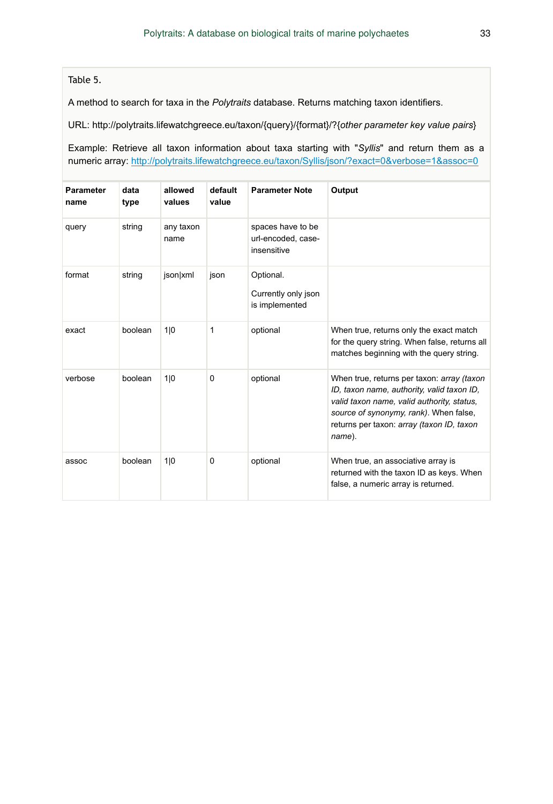### Table 5.

A method to search for taxa in the *Polytraits* database. Returns matching taxon identifiers.

URL: http://polytraits.lifewatchgreece.eu/taxon/{query}/{format}/?{*other parameter key value pairs*}

Example: Retrieve all taxon information about taxa starting with "*Syllis*" and return them as a numeric array:<http://polytraits.lifewatchgreece.eu/taxon/Syllis/json/?exact=0&verbose=1&assoc=0>

| <b>Parameter</b><br>name | data<br>type | allowed<br>values | default<br>value | <b>Parameter Note</b>                                  | Output                                                                                                                                                                                                                                  |
|--------------------------|--------------|-------------------|------------------|--------------------------------------------------------|-----------------------------------------------------------------------------------------------------------------------------------------------------------------------------------------------------------------------------------------|
| query                    | string       | any taxon<br>name |                  | spaces have to be<br>url-encoded, case-<br>insensitive |                                                                                                                                                                                                                                         |
| format                   | string       | json xml          | json             | Optional.<br>Currently only json<br>is implemented     |                                                                                                                                                                                                                                         |
| exact                    | boolean      | 1 0               | 1                | optional                                               | When true, returns only the exact match<br>for the query string. When false, returns all<br>matches beginning with the guery string.                                                                                                    |
| verbose                  | boolean      | 1 0               | $\mathbf 0$      | optional                                               | When true, returns per taxon: array (taxon<br>ID, taxon name, authority, valid taxon ID,<br>valid taxon name, valid authority, status,<br>source of synonymy, rank). When false,<br>returns per taxon: array (taxon ID, taxon<br>name). |
| assoc                    | boolean      | 1 0               | 0                | optional                                               | When true, an associative array is<br>returned with the taxon ID as keys. When<br>false, a numeric array is returned.                                                                                                                   |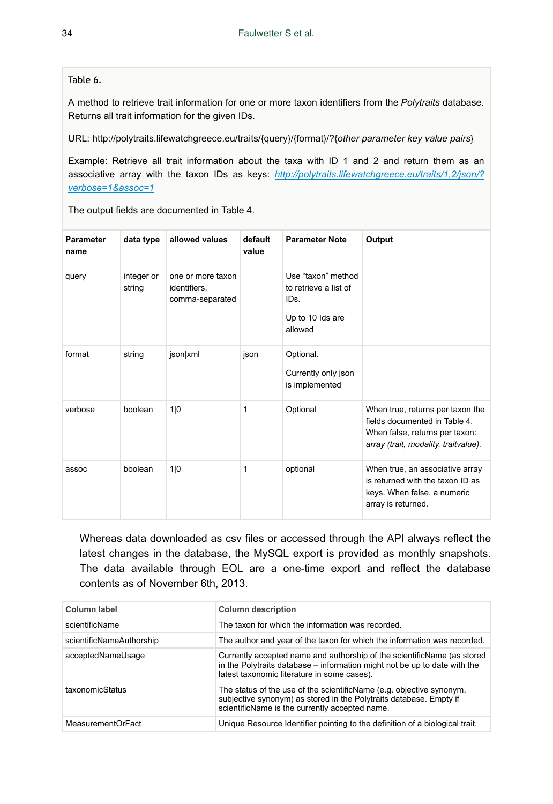Table 6.

A method to retrieve trait information for one or more taxon identifiers from the *Polytraits* database. Returns all trait information for the given IDs.

URL: http://polytraits.lifewatchgreece.eu/traits/{query}/{format}/?{*other parameter key value pairs*}

Example: Retrieve all trait information about the taxa with ID 1 and 2 and return them as an associative array with the taxon IDs as keys: *[http://polytraits.lifewatchgreece.eu/traits/1,2/json/?](http://polytraits.lifewatchgreece.eu/traits/1,2/json/?verbose=1&assoc=1) [verbose=1&assoc=1](http://polytraits.lifewatchgreece.eu/traits/1,2/json/?verbose=1&assoc=1)*

The output fields are documented in Table 4.

| Parameter<br>name | data type            | allowed values                                       | default<br>value | <b>Parameter Note</b>                                                              | Output                                                                                                                                      |
|-------------------|----------------------|------------------------------------------------------|------------------|------------------------------------------------------------------------------------|---------------------------------------------------------------------------------------------------------------------------------------------|
| query             | integer or<br>string | one or more taxon<br>identifiers,<br>comma-separated |                  | Use "taxon" method<br>to retrieve a list of<br>IDs.<br>Up to 10 lds are<br>allowed |                                                                                                                                             |
| format            | string               | json xml                                             | json             | Optional.<br>Currently only json<br>is implemented                                 |                                                                                                                                             |
| verbose           | boolean              | 1 0                                                  | 1                | Optional                                                                           | When true, returns per taxon the<br>fields documented in Table 4.<br>When false, returns per taxon:<br>array (trait, modality, traitvalue). |
| assoc             | boolean              | 1 0                                                  | 1                | optional                                                                           | When true, an associative array<br>is returned with the taxon ID as<br>keys. When false, a numeric<br>array is returned.                    |

Whereas data downloaded as csv files or accessed through the API always reflect the latest changes in the database, the MySQL export is provided as monthly snapshots. The data available through EOL are a one-time export and reflect the database contents as of November 6th, 2013.

| Column label             | <b>Column description</b>                                                                                                                                                                           |
|--------------------------|-----------------------------------------------------------------------------------------------------------------------------------------------------------------------------------------------------|
| scientificName           | The taxon for which the information was recorded.                                                                                                                                                   |
| scientificNameAuthorship | The author and year of the taxon for which the information was recorded.                                                                                                                            |
| acceptedNameUsage        | Currently accepted name and authorship of the scientificName (as stored<br>in the Polytraits database – information might not be up to date with the<br>latest taxonomic literature in some cases). |
| taxonomicStatus          | The status of the use of the scientificName (e.g. objective synonym,<br>subjective synonym) as stored in the Polytraits database. Empty if<br>scientificName is the currently accepted name.        |
| MeasurementOrFact        | Unique Resource Identifier pointing to the definition of a biological trait.                                                                                                                        |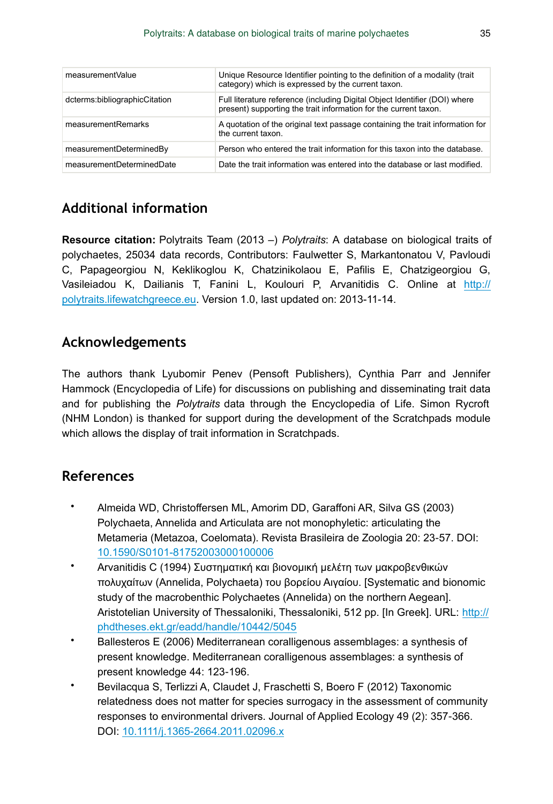| measurementValue              | Unique Resource Identifier pointing to the definition of a modality (trait<br>category) which is expressed by the current taxon.               |
|-------------------------------|------------------------------------------------------------------------------------------------------------------------------------------------|
| dcterms:bibliographicCitation | Full literature reference (including Digital Object Identifier (DOI) where<br>present) supporting the trait information for the current taxon. |
| measurementRemarks            | A quotation of the original text passage containing the trait information for<br>the current taxon.                                            |
| measurementDeterminedBy       | Person who entered the trait information for this taxon into the database.                                                                     |
| measurementDeterminedDate     | Date the trait information was entered into the database or last modified.                                                                     |

# **Additional information**

**Resource citation:** Polytraits Team (2013 –) *Polytraits*: A database on biological traits of polychaetes, 25034 data records, Contributors: Faulwetter S, Markantonatou V, Pavloudi C, Papageorgiou N, Keklikoglou K, Chatzinikolaou E, Pafilis E, Chatzigeorgiou G, Vasileiadou K, Dailianis T, Fanini L, Koulouri P, Arvanitidis C. Online at [http://](http://polytraits.lifewatchgreece.eu) [polytraits.lifewatchgreece.eu](http://polytraits.lifewatchgreece.eu). Version 1.0, last updated on: 2013-11-14.

# **Acknowledgements**

The authors thank Lyubomir Penev (Pensoft Publishers), Cynthia Parr and Jennifer Hammock (Encyclopedia of Life) for discussions on publishing and disseminating trait data and for publishing the *Polytraits* data through the Encyclopedia of Life. Simon Rycroft (NHM London) is thanked for support during the development of the Scratchpads module which allows the display of trait information in Scratchpads.

# **References**

- Almeida WD, Christoffersen ML, Amorim DD, Garaffoni AR, Silva GS (2003) Polychaeta, Annelida and Articulata are not monophyletic: articulating the Metameria (Metazoa, Coelomata). Revista Brasileira de Zoologia 20: 23‑57. DOI: [10.1590/S0101-81752003000100006](http://dx.doi.org/10.1590/S0101-81752003000100006)
- Arvanitidis C (1994) Συστηματική και βιονομική μελέτη των μακροβενθικών πολυχαίτων (Annelida, Polychaeta) του βορείου Αιγαίου. [Systematic and bionomic study of the macrobenthic Polychaetes (Annelida) on the northern Aegean]. Aristotelian University of Thessaloniki, Thessaloniki, 512 pp. [In Greek]. URL: [http://](http://phdtheses.ekt.gr/eadd/handle/10442/5045) [phdtheses.ekt.gr/eadd/handle/10442/5045](http://phdtheses.ekt.gr/eadd/handle/10442/5045)
- Ballesteros E (2006) Mediterranean coralligenous assemblages: a synthesis of present knowledge. Mediterranean coralligenous assemblages: a synthesis of present knowledge 44: 123-196.
- Bevilacqua S, Terlizzi A, Claudet J, Fraschetti S, Boero F (2012) Taxonomic relatedness does not matter for species surrogacy in the assessment of community responses to environmental drivers. Journal of Applied Ecology 49 (2): 357‑366. DOI: [10.1111/j.1365-2664.2011.02096.x](http://dx.doi.org/10.1111/j.1365-2664.2011.02096.x)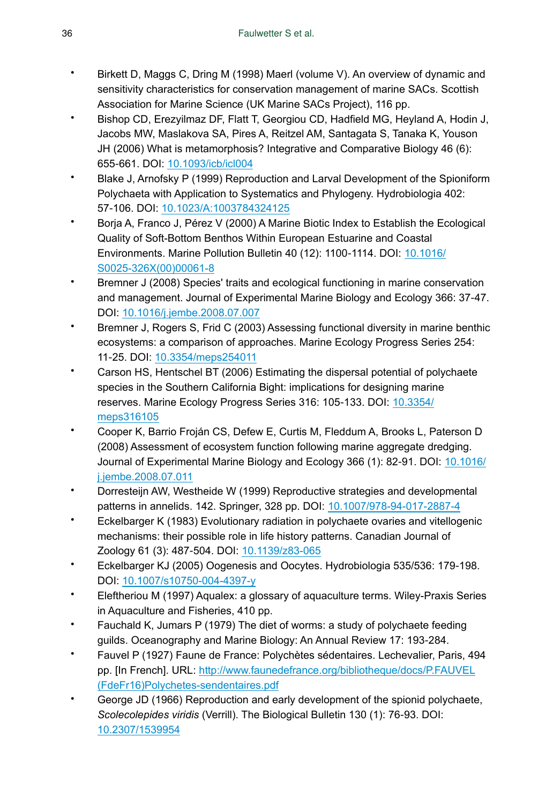- Birkett D, Maggs C, Dring M (1998) Maerl (volume V). An overview of dynamic and sensitivity characteristics for conservation management of marine SACs. Scottish Association for Marine Science (UK Marine SACs Project), 116 pp.
- Bishop CD, Erezyilmaz DF, Flatt T, Georgiou CD, Hadfield MG, Heyland A, Hodin J, Jacobs MW, Maslakova SA, Pires A, Reitzel AM, Santagata S, Tanaka K, Youson JH (2006) What is metamorphosis? Integrative and Comparative Biology 46 (6): 655‑661. DOI: [10.1093/icb/icl004](http://dx.doi.org/10.1093/icb/icl004)
- Blake J, Arnofsky P (1999) Reproduction and Larval Development of the Spioniform Polychaeta with Application to Systematics and Phylogeny. Hydrobiologia 402: 57‑106. DOI: [10.1023/A:1003784324125](http://dx.doi.org/10.1023/A:1003784324125)
- Borja A, Franco J, Pérez V (2000) A Marine Biotic Index to Establish the Ecological Quality of Soft-Bottom Benthos Within European Estuarine and Coastal Environments. Marine Pollution Bulletin 40 (12): 1100‑1114. DOI: [10.1016/](http://dx.doi.org/10.1016/S0025-326X(00)00061-8) [S0025-326X\(00\)00061-8](http://dx.doi.org/10.1016/S0025-326X(00)00061-8)
- Bremner J (2008) Species' traits and ecological functioning in marine conservation and management. Journal of Experimental Marine Biology and Ecology 366: 37‑47. DOI: [10.1016/j.jembe.2008.07.007](http://dx.doi.org/10.1016/j.jembe.2008.07.007)
- Bremner J, Rogers S, Frid C (2003) Assessing functional diversity in marine benthic ecosystems: a comparison of approaches. Marine Ecology Progress Series 254: 11‑25. DOI: [10.3354/meps254011](http://dx.doi.org/10.3354/meps254011)
- Carson HS, Hentschel BT (2006) Estimating the dispersal potential of polychaete species in the Southern California Bight: implications for designing marine reserves. Marine Ecology Progress Series 316: 105-133. DOI: [10.3354/](http://dx.doi.org/10.3354/meps316105) [meps316105](http://dx.doi.org/10.3354/meps316105)
- Cooper K, Barrio Froján CS, Defew E, Curtis M, Fleddum A, Brooks L, Paterson D (2008) Assessment of ecosystem function following marine aggregate dredging. Journal of Experimental Marine Biology and Ecology 366 (1): 82-91. DOI: [10.1016/](http://dx.doi.org/10.1016/j.jembe.2008.07.011) [j.jembe.2008.07.011](http://dx.doi.org/10.1016/j.jembe.2008.07.011)
- Dorresteijn AW, Westheide W (1999) Reproductive strategies and developmental patterns in annelids. 142. Springer, 328 pp. DOI: [10.1007/978-94-017-2887-4](http://dx.doi.org/10.1007/978-94-017-2887-4)
- Eckelbarger K (1983) Evolutionary radiation in polychaete ovaries and vitellogenic mechanisms: their possible role in life history patterns. Canadian Journal of Zoology 61 (3): 487‑504. DOI: [10.1139/z83-065](http://dx.doi.org/10.1139/z83-065)
- Eckelbarger KJ (2005) Oogenesis and Oocytes. Hydrobiologia 535/536: 179‑198. DOI: [10.1007/s10750-004-4397-y](http://dx.doi.org/10.1007/s10750-004-4397-y)
- Eleftheriou M (1997) Aqualex: a glossary of aquaculture terms. Wiley-Praxis Series in Aquaculture and Fisheries, 410 pp.
- Fauchald K, Jumars P (1979) The diet of worms: a study of polychaete feeding guilds. Oceanography and Marine Biology: An Annual Review 17: 193-284.
- Fauvel P (1927) Faune de France: Polychètes sédentaires. Lechevalier, Paris, 494 pp. [In French]. URL: [http://www.faunedefrance.org/bibliotheque/docs/P.FAUVEL](http://www.faunedefrance.org/bibliotheque/docs/P.FAUVEL(FdeFr16)Polychetes-sendentaires.pdf) [\(FdeFr16\)Polychetes-sendentaires.pdf](http://www.faunedefrance.org/bibliotheque/docs/P.FAUVEL(FdeFr16)Polychetes-sendentaires.pdf)
- George JD (1966) Reproduction and early development of the spionid polychaete, *Scolecolepides viridis* (Verrill). The Biological Bulletin 130 (1): 76‑93. DOI: [10.2307/1539954](http://dx.doi.org/10.2307/1539954)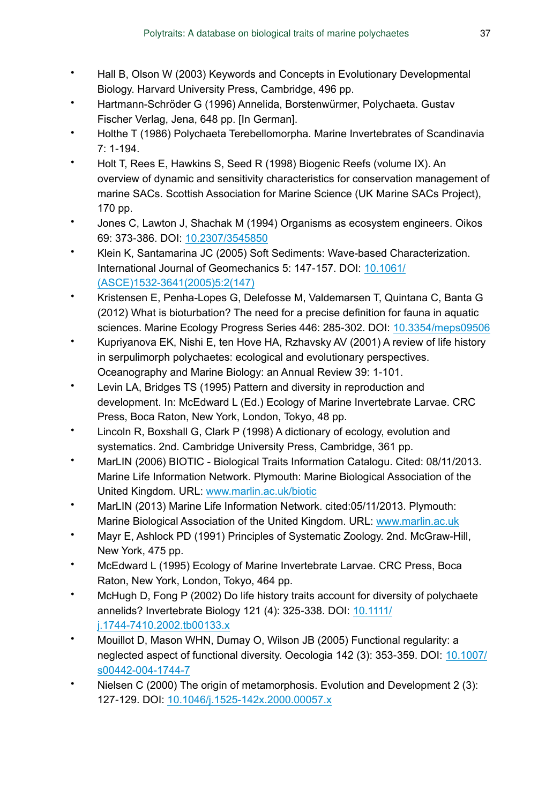- Hall B, Olson W (2003) Keywords and Concepts in Evolutionary Developmental Biology. Harvard University Press, Cambridge, 496 pp.
- Hartmann-Schröder G (1996) Annelida, Borstenwürmer, Polychaeta. Gustav Fischer Verlag, Jena, 648 pp. [In German].
- Holthe T (1986) Polychaeta Terebellomorpha. Marine Invertebrates of Scandinavia  $7: 1 - 194.$
- Holt T, Rees E, Hawkins S, Seed R (1998) Biogenic Reefs (volume IX). An overview of dynamic and sensitivity characteristics for conservation management of marine SACs. Scottish Association for Marine Science (UK Marine SACs Project), 170 pp.
- Jones C, Lawton J, Shachak M (1994) Organisms as ecosystem engineers. Oikos 69: 373‑386. DOI: [10.2307/3545850](http://dx.doi.org/10.2307/3545850)
- Klein K, Santamarina JC (2005) Soft Sediments: Wave-based Characterization. International Journal of Geomechanics 5: 147‑157. DOI: [10.1061/](http://dx.doi.org/10.1061/(ASCE)1532-3641(2005)5:2(147)) [\(ASCE\)1532-3641\(2005\)5:2\(147\)](http://dx.doi.org/10.1061/(ASCE)1532-3641(2005)5:2(147))
- Kristensen E, Penha-Lopes G, Delefosse M, Valdemarsen T, Quintana C, Banta G (2012) What is bioturbation? The need for a precise definition for fauna in aquatic sciences. Marine Ecology Progress Series 446: 285-302. DOI: [10.3354/meps09506](http://dx.doi.org/10.3354/meps09506)
- Kupriyanova EK, Nishi E, ten Hove HA, Rzhavsky AV (2001) A review of life history in serpulimorph polychaetes: ecological and evolutionary perspectives. Oceanography and Marine Biology: an Annual Review 39: 1‑101.
- Levin LA, Bridges TS (1995) Pattern and diversity in reproduction and development. In: McEdward L (Ed.) Ecology of Marine Invertebrate Larvae. CRC Press, Boca Raton, New York, London, Tokyo, 48 pp.
- Lincoln R, Boxshall G, Clark P (1998) A dictionary of ecology, evolution and systematics. 2nd. Cambridge University Press, Cambridge, 361 pp.
- MarLIN (2006) BIOTIC Biological Traits Information Catalogu. Cited: 08/11/2013. Marine Life Information Network. Plymouth: Marine Biological Association of the United Kingdom. URL: [www.marlin.ac.uk/biotic](http://www.marlin.ac.uk/biotic)
- MarLIN (2013) Marine Life Information Network. cited:05/11/2013. Plymouth: Marine Biological Association of the United Kingdom. URL: [www.marlin.ac.uk](http://www.marlin.ac.uk)
- Mayr E, Ashlock PD (1991) Principles of Systematic Zoology. 2nd. McGraw-Hill, New York, 475 pp.
- McEdward L (1995) Ecology of Marine Invertebrate Larvae. CRC Press, Boca Raton, New York, London, Tokyo, 464 pp.
- McHugh D, Fong P (2002) Do life history traits account for diversity of polychaete annelids? Invertebrate Biology 121 (4): 325‑338. DOI: [10.1111/](http://dx.doi.org/10.1111/j.1744-7410.2002.tb00133.x) [j.1744-7410.2002.tb00133.x](http://dx.doi.org/10.1111/j.1744-7410.2002.tb00133.x)
- Mouillot D, Mason WHN, Dumay O, Wilson JB (2005) Functional regularity: a neglected aspect of functional diversity. Oecologia 142 (3): 353‑359. DOI: [10.1007/](http://dx.doi.org/10.1007/s00442-004-1744-7) [s00442-004-1744-7](http://dx.doi.org/10.1007/s00442-004-1744-7)
- Nielsen C (2000) The origin of metamorphosis. Evolution and Development 2 (3): 127‑129. DOI: [10.1046/j.1525-142x.2000.00057.x](http://dx.doi.org/10.1046/j.1525-142x.2000.00057.x)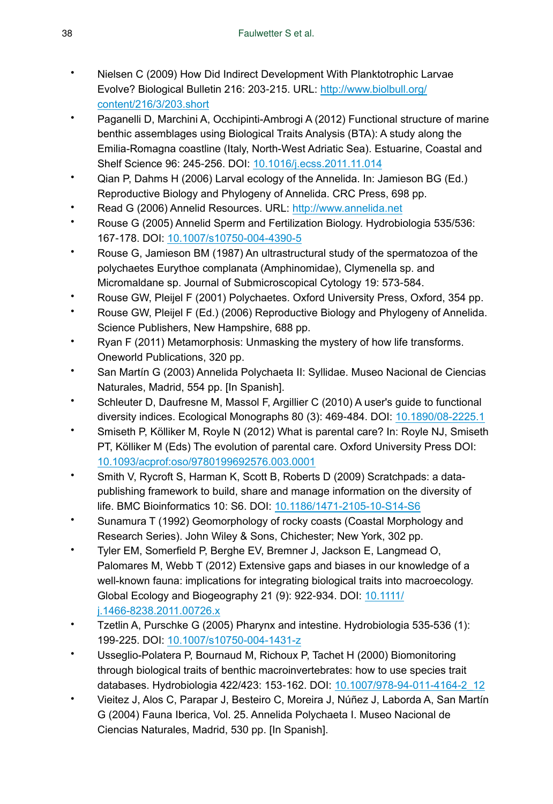- Nielsen C (2009) How Did Indirect Development With Planktotrophic Larvae Evolve? Biological Bulletin 216: 203‑215. URL: [http://www.biolbull.org/](http://www.biolbull.org/content/216/3/203.short) [content/216/3/203.short](http://www.biolbull.org/content/216/3/203.short)
- Paganelli D, Marchini A, Occhipinti-Ambrogi A (2012) Functional structure of marine benthic assemblages using Biological Traits Analysis (BTA): A study along the Emilia-Romagna coastline (Italy, North-West Adriatic Sea). Estuarine, Coastal and Shelf Science 96: 245‑256. DOI: [10.1016/j.ecss.2011.11.014](http://dx.doi.org/10.1016/j.ecss.2011.11.014)
- Qian P, Dahms H (2006) Larval ecology of the Annelida. In: Jamieson BG (Ed.) Reproductive Biology and Phylogeny of Annelida. CRC Press, 698 pp.
- Read G (2006) Annelid Resources. URL: <http://www.annelida.net>
- Rouse G (2005) Annelid Sperm and Fertilization Biology. Hydrobiologia 535/536: 167‑178. DOI: [10.1007/s10750-004-4390-5](http://dx.doi.org/10.1007/s10750-004-4390-5)
- Rouse G, Jamieson BM (1987) An ultrastructural study of the spermatozoa of the polychaetes Eurythoe complanata (Amphinomidae), Clymenella sp. and Micromaldane sp. Journal of Submicroscopical Cytology 19: 573-584.
- Rouse GW, Pleijel F (2001) Polychaetes. Oxford University Press, Oxford, 354 pp.
- Rouse GW, Pleijel F (Ed.) (2006) Reproductive Biology and Phylogeny of Annelida. Science Publishers, New Hampshire, 688 pp.
- Ryan F (2011) Metamorphosis: Unmasking the mystery of how life transforms. Oneworld Publications, 320 pp.
- San Martín G (2003) Annelida Polychaeta II: Syllidae. Museo Nacional de Ciencias Naturales, Madrid, 554 pp. [In Spanish].
- Schleuter D, Daufresne M, Massol F, Argillier C (2010) A user's guide to functional diversity indices. Ecological Monographs 80 (3): 469‑484. DOI: [10.1890/08-2225.1](http://dx.doi.org/10.1890/08-2225.1)
- Smiseth P, Kölliker M, Royle N (2012) What is parental care? In: Royle NJ, Smiseth PT, Kölliker M (Eds) The evolution of parental care. Oxford University Press DOI: [10.1093/acprof:oso/9780199692576.003.0001](http://dx.doi.org/10.1093/acprof:oso/9780199692576.003.0001)
- Smith V, Rycroft S, Harman K, Scott B, Roberts D (2009) Scratchpads: a datapublishing framework to build, share and manage information on the diversity of life. BMC Bioinformatics 10: S6. DOI: [10.1186/1471-2105-10-S14-S6](http://dx.doi.org/10.1186/1471-2105-10-S14-S6)
- Sunamura T (1992) Geomorphology of rocky coasts (Coastal Morphology and Research Series). John Wiley & Sons, Chichester; New York, 302 pp.
- Tyler EM, Somerfield P, Berghe EV, Bremner J, Jackson E, Langmead O, Palomares M, Webb T (2012) Extensive gaps and biases in our knowledge of a well-known fauna: implications for integrating biological traits into macroecology. Global Ecology and Biogeography 21 (9): 922‑934. DOI: [10.1111/](http://dx.doi.org/10.1111/j.1466-8238.2011.00726.x) [j.1466-8238.2011.00726.x](http://dx.doi.org/10.1111/j.1466-8238.2011.00726.x)
- Tzetlin A, Purschke G (2005) Pharynx and intestine. Hydrobiologia 535-536 (1): 199‑225. DOI: [10.1007/s10750-004-1431-z](http://dx.doi.org/10.1007/s10750-004-1431-z)
- Usseglio-Polatera P, Bournaud M, Richoux P, Tachet H (2000) Biomonitoring through biological traits of benthic macroinvertebrates: how to use species trait databases. Hydrobiologia 422/423: 153‑162. DOI: [10.1007/978-94-011-4164-2\\_12](http://dx.doi.org/10.1007/978-94-011-4164-2_12)
- Vieitez J, Alos C, Parapar J, Besteiro C, Moreira J, Núñez J, Laborda A, San Martín G (2004) Fauna Iberica, Vol. 25. Annelida Polychaeta I. Museo Nacional de Ciencias Naturales, Madrid, 530 pp. [In Spanish].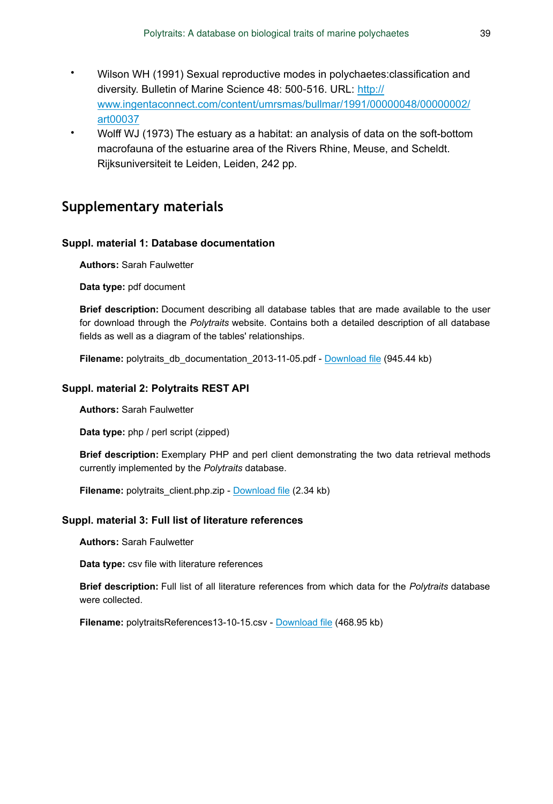- Wilson WH (1991) Sexual reproductive modes in polychaetes:classification and diversity. Bulletin of Marine Science 48: 500‑516. URL: [http://](http://www.ingentaconnect.com/content/umrsmas/bullmar/1991/00000048/00000002/art00037) [www.ingentaconnect.com/content/umrsmas/bullmar/1991/00000048/00000002/](http://www.ingentaconnect.com/content/umrsmas/bullmar/1991/00000048/00000002/art00037) [art00037](http://www.ingentaconnect.com/content/umrsmas/bullmar/1991/00000048/00000002/art00037)
- Wolff WJ (1973) The estuary as a habitat: an analysis of data on the soft-bottom macrofauna of the estuarine area of the Rivers Rhine, Meuse, and Scheldt. Rijksuniversiteit te Leiden, Leiden, 242 pp.

## **Supplementary materials**

### **Suppl. material 1: Database documentation**

**Authors:** Sarah Faulwetter

**Data type:** pdf document

**Brief description:** Document describing all database tables that are made available to the user for download through the *Polytraits* website. Contains both a detailed description of all database fields as well as a diagram of the tables' relationships.

**Filename:** polytraits\_db\_documentation\_2013-11-05.pdf - [Download file](http://pwt.pensoft.net//getfile.php?filename=oo_5039.pdf) (945.44 kb)

### **Suppl. material 2: Polytraits REST API**

**Authors:** Sarah Faulwetter

**Data type:** php / perl script (zipped)

**Brief description:** Exemplary PHP and perl client demonstrating the two data retrieval methods currently implemented by the *Polytraits* database.

**Filename:** polytraits client.php.zip - [Download file](http://pwt.pensoft.net//getfile.php?filename=oo_4990.zip) (2.34 kb)

### **Suppl. material 3: Full list of literature references**

**Authors:** Sarah Faulwetter

**Data type:** csv file with literature references

**Brief description:** Full list of all literature references from which data for the *Polytraits* database were collected.

**Filename:** polytraitsReferences13-10-15.csv - [Download file](http://pwt.pensoft.net//getfile.php?filename=oo_4755.csv) (468.95 kb)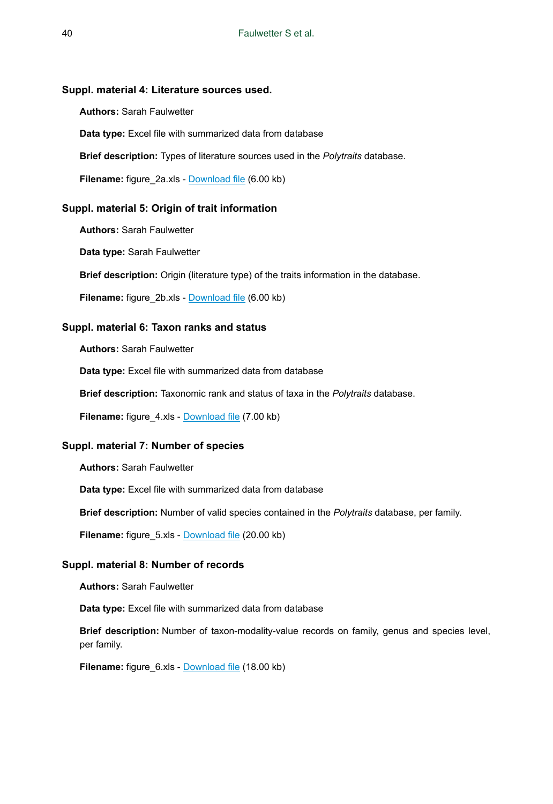### **Suppl. material 4: Literature sources used.**

**Authors:** Sarah Faulwetter

**Data type:** Excel file with summarized data from database

**Brief description:** Types of literature sources used in the *Polytraits* database.

**Filename:** figure\_2a.xls - [Download file](http://pwt.pensoft.net//getfile.php?filename=oo_5155.xls) (6.00 kb)

#### **Suppl. material 5: Origin of trait information**

**Authors:** Sarah Faulwetter

**Data type:** Sarah Faulwetter

**Brief description:** Origin (literature type) of the traits information in the database.

**Filename:** figure\_2b.xls - [Download file](http://pwt.pensoft.net//getfile.php?filename=oo_5157.xls) (6.00 kb)

#### **Suppl. material 6: Taxon ranks and status**

**Authors:** Sarah Faulwetter

**Data type:** Excel file with summarized data from database

**Brief description:** Taxonomic rank and status of taxa in the *Polytraits* database.

**Filename:** figure 4.xls - [Download file](http://pwt.pensoft.net//getfile.php?filename=oo_5156.xls) (7.00 kb)

### **Suppl. material 7: Number of species**

**Authors:** Sarah Faulwetter

**Data type:** Excel file with summarized data from database

**Brief description:** Number of valid species contained in the *Polytraits* database, per family.

**Filename:** figure 5.xls - [Download file](http://pwt.pensoft.net//getfile.php?filename=oo_5158.xls) (20.00 kb)

#### **Suppl. material 8: Number of records**

**Authors:** Sarah Faulwetter

**Data type:** Excel file with summarized data from database

**Brief description:** Number of taxon-modality-value records on family, genus and species level, per family.

**Filename:** figure 6.xls - [Download file](http://pwt.pensoft.net//getfile.php?filename=oo_5159.xls) (18.00 kb)